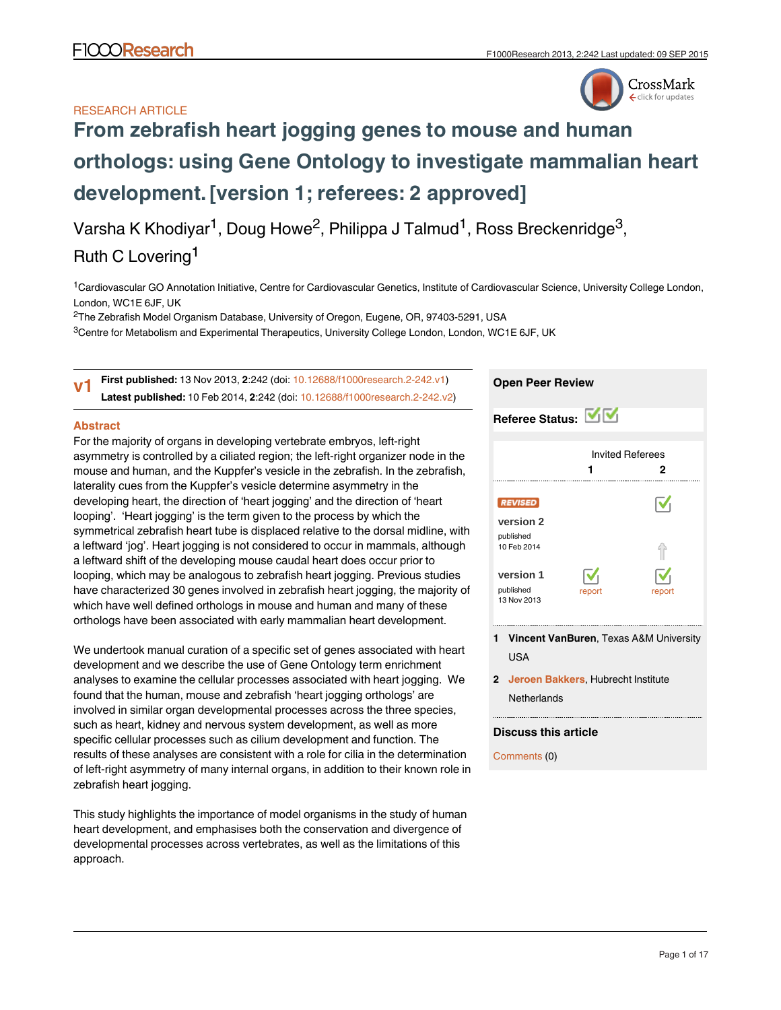# RESEARCH ARTICLE



# **[From zebrafish heart jogging genes to mouse and human](http://f1000research.com/articles/2-242/v1) [orthologs: using Gene Ontology to investigate mammalian heart](http://f1000research.com/articles/2-242/v1) [development.](http://f1000research.com/articles/2-242/v1)[version 1; referees: 2 approved]**

Varsha K Khodiyar<sup>1</sup>, Doug Howe<sup>2</sup>, Philippa J Talmud<sup>1</sup>, Ross Breckenridge<sup>3</sup>,

# Ruth C Lovering<sup>1</sup>

<sup>1</sup>Cardiovascular GO Annotation Initiative, Centre for Cardiovascular Genetics, Institute of Cardiovascular Science, University College London, London, WC1E 6JF, UK

 $^{2}$ The Zebrafish Model Organism Database, University of Oregon, Eugene, OR, 97403-5291, USA

 $^3$ Centre for Metabolism and Experimental Therapeutics, University College London, London, WC1E 6JF, UK

**First published:** 13 Nov 2013, **2**:242 (doi: [10.12688/f1000research.2-242.v1](http://dx.doi.org/10.12688/f1000research.2-242.v1)) **Latest published:** 10 Feb 2014, **2**:242 (doi: [10.12688/f1000research.2-242.v2](http://dx.doi.org/10.12688/f1000research.2-242.v2)) **v1**

### **Abstract**

For the majority of organs in developing vertebrate embryos, left-right asymmetry is controlled by a ciliated region; the left-right organizer node in the mouse and human, and the Kuppfer's vesicle in the zebrafish. In the zebrafish, laterality cues from the Kuppfer's vesicle determine asymmetry in the developing heart, the direction of 'heart jogging' and the direction of 'heart looping'. 'Heart jogging' is the term given to the process by which the symmetrical zebrafish heart tube is displaced relative to the dorsal midline, with a leftward 'jog'. Heart jogging is not considered to occur in mammals, although a leftward shift of the developing mouse caudal heart does occur prior to looping, which may be analogous to zebrafish heart jogging. Previous studies have characterized 30 genes involved in zebrafish heart jogging, the majority of which have well defined orthologs in mouse and human and many of these orthologs have been associated with early mammalian heart development.

We undertook manual curation of a specific set of genes associated with heart development and we describe the use of Gene Ontology term enrichment analyses to examine the cellular processes associated with heart jogging. We found that the human, mouse and zebrafish 'heart jogging orthologs' are involved in similar organ developmental processes across the three species, such as heart, kidney and nervous system development, as well as more specific cellular processes such as cilium development and function. The results of these analyses are consistent with a role for cilia in the determination of left-right asymmetry of many internal organs, in addition to their known role in zebrafish heart jogging.

This study highlights the importance of model organisms in the study of human heart development, and emphasises both the conservation and divergence of developmental processes across vertebrates, as well as the limitations of this approach.

### **Open Peer Review**

| Referee Status: VV                                      |                                     |                       |
|---------------------------------------------------------|-------------------------------------|-----------------------|
|                                                         | <b>Invited Referees</b>             | 2                     |
| <b>REVISED</b><br>version 2<br>published<br>10 Feb 2014 |                                     | $\boldsymbol{\nabla}$ |
| version 1<br>published<br>13 Nov 2013                   | $\overline{\mathbf{v}}_1$<br>report | report                |

- **Vincent VanBuren**, Texas A&M University **1** USA
- **Jeroen Bakkers**, Hubrecht Institute **2 Netherlands**

## **Discuss this article**

Comments (0)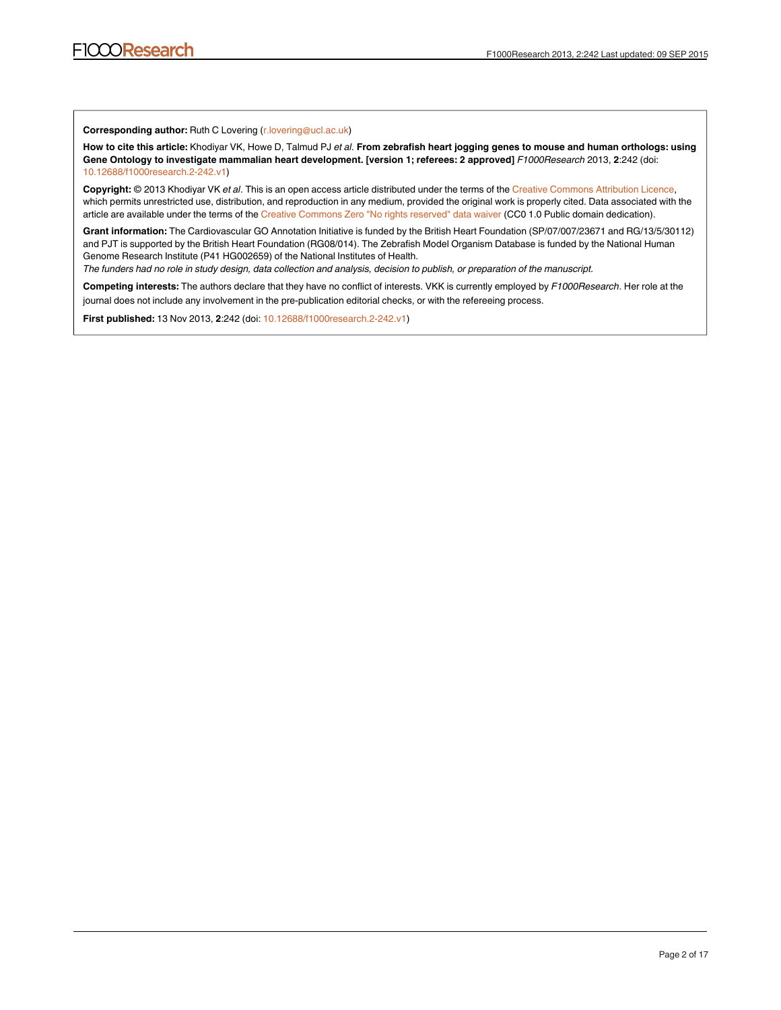**Corresponding author:** Ruth C Lovering (r.lovering@ucl.ac.uk)

**How to cite this article:** Khodiyar VK, Howe D, Talmud PJ *et al.* **From zebrafish heart jogging genes to mouse and human orthologs: using Gene Ontology to investigate mammalian heart development. [version 1; referees: 2 approved]** *F1000Research* 2013, **2**:242 (doi: [10.12688/f1000research.2-242.v1\)](http://dx.doi.org/10.12688/f1000research.2-242.v1)

**Copyright:** © 2013 Khodiyar VK *et al*. This is an open access article distributed under the terms of the [Creative Commons Attribution Licence,](http://creativecommons.org/licenses/by/3.0/) which permits unrestricted use, distribution, and reproduction in any medium, provided the original work is properly cited. Data associated with the article are available under the terms of the [Creative Commons Zero "No rights reserved" data waiver](http://creativecommons.org/publicdomain/zero/1.0/) (CC0 1.0 Public domain dedication).

**Grant information:** The Cardiovascular GO Annotation Initiative is funded by the British Heart Foundation (SP/07/007/23671 and RG/13/5/30112) and PJT is supported by the British Heart Foundation (RG08/014). The Zebrafish Model Organism Database is funded by the National Human Genome Research Institute (P41 HG002659) of the National Institutes of Health.

*The funders had no role in study design, data collection and analysis, decision to publish, or preparation of the manuscript.*

**Competing interests:** The authors declare that they have no conflict of interests. VKK is currently employed by *F1000Research*. Her role at the journal does not include any involvement in the pre-publication editorial checks, or with the refereeing process.

**First published:** 13 Nov 2013, **2**:242 (doi: [10.12688/f1000research.2-242.v1\)](http://dx.doi.org/10.12688/f1000research.2-242.v1)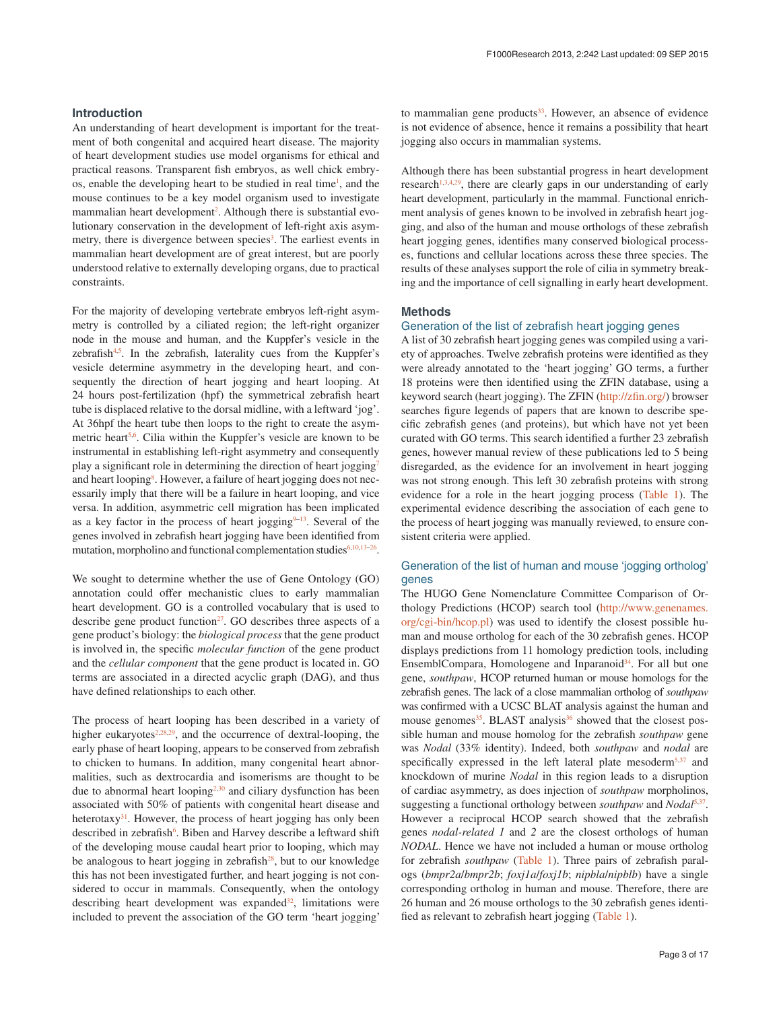#### **Introduction**

An understanding of heart development is important for the treatment of both congenital and acquired heart disease. The majority of heart development studies use model organisms for ethical and practical reasons. Transparent fish embryos, as well chick embryos, enable the developing heart to be studied in real time<sup>1</sup>, and the mouse continues to be a key model organism used to investigate mammalian heart development<sup>2</sup>. Although there is substantial evolutionary conservation in the development of left-right axis asymmetry, there is divergence between species<sup>3</sup>. The earliest events in mammalian heart development are of great interest, but are poorly understood relative to externally developing organs, due to practical constraints.

For the majority of developing vertebrate embryos left-right asymmetry is controlled by a ciliated region; the left-right organizer node in the mouse and human, and the Kuppfer's vesicle in the zebrafish $4.5$ . In the zebrafish, laterality cues from the Kuppfer's vesicle determine asymmetry in the developing heart, and consequently the direction of heart jogging and heart looping. At 24 hours post-fertilization (hpf) the symmetrical zebrafish heart tube is displaced relative to the dorsal midline, with a leftward 'jog'. At 36hpf the heart tube then loops to the right to create the asymmetric heart<sup>5,6</sup>. Cilia within the Kuppfer's vesicle are known to be instrumental in establishing left-right asymmetry and consequently play a significant role in determining the direction of heart jogging<sup>7</sup> and heart looping<sup>[8](#page-10-0)</sup>. However, a failure of heart jogging does not necessarily imply that there will be a failure in heart looping, and vice versa. In addition, asymmetric cell migration has been implicated as a key factor in the process of heart jogging $9-13$ . Several of the genes involved in zebrafish heart jogging have been identified from mutation, morpholino and functional complementation studies $6,10,13-26$  $6,10,13-26$ .

We sought to determine whether the use of Gene Ontology (GO) annotation could offer mechanistic clues to early mammalian heart development. GO is a controlled vocabulary that is used to describe gene product function $2^7$ . GO describes three aspects of a gene product's biology: the *biological process* that the gene product is involved in, the specific *molecular function* of the gene product and the *cellular component* that the gene product is located in. GO terms are associated in a directed acyclic graph (DAG), and thus have defined relationships to each other.

The process of heart looping has been described in a variety of higher eukaryotes $2,28,29$  $2,28,29$  $2,28,29$ , and the occurrence of dextral-looping, the early phase of heart looping, appears to be conserved from zebrafish to chicken to humans. In addition, many congenital heart abnormalities, such as dextrocardia and isomerisms are thought to be due to abnormal heart looping<sup>2,[30](#page-11-0)</sup> and ciliary dysfunction has been associated with 50% of patients with congenital heart disease and heterotaxy<sup>31</sup>. However, the process of heart jogging has only been described in zebrafish<sup>6</sup>. Biben and Harvey describe a leftward shift of the developing mouse caudal heart prior to looping, which may be analogous to heart jogging in zebrafish $28$ , but to our knowledge this has not been investigated further, and heart jogging is not considered to occur in mammals. Consequently, when the ontology describing heart development was expanded<sup>[32](#page-11-0)</sup>, limitations were included to prevent the association of the GO term 'heart jogging'

to mammalian gene products<sup>33</sup>. However, an absence of evidence is not evidence of absence, hence it remains a possibility that heart jogging also occurs in mammalian systems.

Although there has been substantial progress in heart development research<sup>1,3,4[,29](#page-11-0)</sup>, there are clearly gaps in our understanding of early heart development, particularly in the mammal. Functional enrichment analysis of genes known to be involved in zebrafish heart jogging, and also of the human and mouse orthologs of these zebrafish heart jogging genes, identifies many conserved biological processes, functions and cellular locations across these three species. The results of these analyses support the role of cilia in symmetry breaking and the importance of cell signalling in early heart development.

#### **Methods**

#### Generation of the list of zebrafish heart jogging genes

A list of 30 zebrafish heart jogging genes was compiled using a variety of approaches. Twelve zebrafish proteins were identified as they were already annotated to the 'heart jogging' GO terms, a further 18 proteins were then identified using the ZFIN database, using a keyword search (heart jogging). The ZFIN ([http://zfin.org/\)](http://zfin.org/) browser searches figure legends of papers that are known to describe specific zebrafish genes (and proteins), but which have not yet been curated with GO terms. This search identified a further 23 zebrafish genes, however manual review of these publications led to 5 being disregarded, as the evidence for an involvement in heart jogging was not strong enough. This left 30 zebrafish proteins with strong evidence for a role in the heart jogging process [\(Table 1\)](#page-3-0). The experimental evidence describing the association of each gene to the process of heart jogging was manually reviewed, to ensure consistent criteria were applied.

#### Generation of the list of human and mouse 'jogging ortholog' genes

The HUGO Gene Nomenclature Committee Comparison of Orthology Predictions (HCOP) search tool ([http://www.genenames.](http://www.genenames.org/cgi-bin/hcop.pl) [org/cgi-bin/hcop.pl\)](http://www.genenames.org/cgi-bin/hcop.pl) was used to identify the closest possible human and mouse ortholog for each of the 30 zebrafish genes. HCOP displays predictions from 11 homology prediction tools, including EnsemblCompara, Homologene and Inparanoid<sup>34</sup>. For all but one gene, *southpaw*, HCOP returned human or mouse homologs for the zebrafish genes. The lack of a close mammalian ortholog of *southpaw* was confirmed with a UCSC BLAT analysis against the human and mouse genomes<sup>35</sup>. BLAST analysis<sup>[36](#page-11-0)</sup> showed that the closest possible human and mouse homolog for the zebrafish *southpaw* gene was *Nodal* (33% identity). Indeed, both *southpaw* and *nodal* are specifically expressed in the left lateral plate mesoderm $5.37$  $5.37$  and knockdown of murine *Nodal* in this region leads to a disruption of cardiac asymmetry, as does injection of *southpaw* morpholinos, suggesting a functional orthology between *southpaw* and *Nodal*[5,](#page-10-0)[37](#page-11-0). However a reciprocal HCOP search showed that the zebrafish genes *nodal-related 1* and *2* are the closest orthologs of human *NODAL*. Hence we have not included a human or mouse ortholog for zebrafish *southpaw* ([Table 1](#page-3-0)). Three pairs of zebrafish paralogs (*bmpr2a*/*bmpr2b*; *foxj1a*/*foxj1b*; *nipbla*/*nipblb*) have a single corresponding ortholog in human and mouse. Therefore, there are 26 human and 26 mouse orthologs to the 30 zebrafish genes identified as relevant to zebrafish heart jogging ([Table 1](#page-3-0)).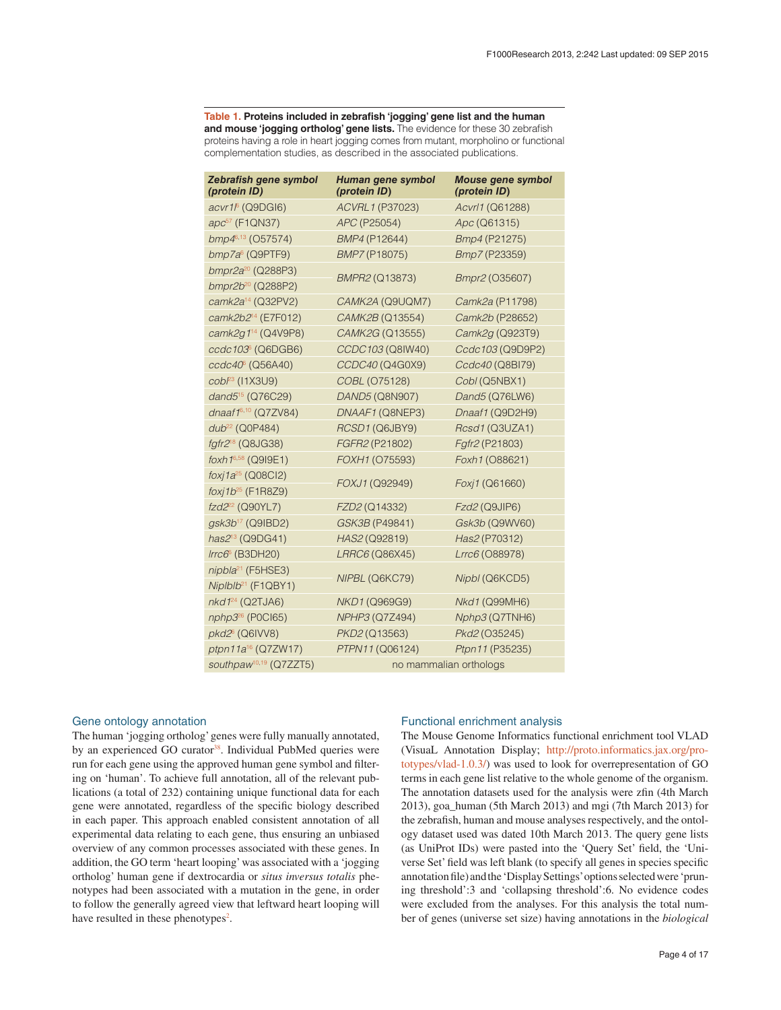#### <span id="page-3-0"></span>**Table 1. Proteins included in zebrafish 'jogging' gene list and the human and mouse 'jogging ortholog' gene lists.** The evidence for these 30 zebrafish proteins having a role in heart jogging comes from mutant, morpholino or functional complementation studies, as described in the associated publications.

| Zebrafish gene symbol<br>(protein ID)                    | Human gene symbol<br>(protein ID) | <b>Mouse gene symbol</b><br>(protein ID) |  |  |  |
|----------------------------------------------------------|-----------------------------------|------------------------------------------|--|--|--|
| acvr1 <sup>6</sup> (Q9DGI6)                              | ACVRL1 (P37023)                   | Acvrl1 (Q61288)                          |  |  |  |
| apc <sup>57</sup> (F1QN37)                               | APC (P25054)                      | Apc (Q61315)                             |  |  |  |
| bmp46,13 (O57574)                                        | BMP4 (P12644)                     | Bmp4 (P21275)                            |  |  |  |
| bmp7a <sup>6</sup> (Q9PTF9)                              | BMP7 (P18075)                     | Bmp7 (P23359)                            |  |  |  |
| bmpr2a <sup>20</sup> (Q288P3)                            | BMPR2 (Q13873)                    | Bmpr2 (O35607)                           |  |  |  |
| bmpr2b <sup>20</sup> (Q288P2)                            |                                   |                                          |  |  |  |
| camk2a <sup>14</sup> (Q32PV2)                            | CAMK2A (Q9UQM7)                   | Camk2a (P11798)                          |  |  |  |
| camk2b2 <sup>14</sup> (E7F012)                           | CAMK2B (Q13554)                   | Camk2b (P28652)                          |  |  |  |
| camk2g1 <sup>14</sup> (Q4V9P8)                           | CAMK2G (Q13555)                   | Camk2g (Q923T9)                          |  |  |  |
| $ccdc103°$ (Q6DGB6)                                      | CCDC103 (Q8IW40)                  | Ccdc103 (Q9D9P2)                         |  |  |  |
| ccdc40° (Q56A40)                                         | CCDC40 (Q4G0X9)                   | Ccdc40 (Q8BI79)                          |  |  |  |
| $cob^{23}$ (11X3U9)                                      | COBL (075128)                     | Cobl (Q5NBX1)                            |  |  |  |
| dand5 <sup>15</sup> (Q76C29)                             | DAND5 (Q8N907)                    | Dand5 (Q76LW6)                           |  |  |  |
| dnaaf1 $6,10$ (Q7ZV84)                                   | DNAAF1 (Q8NEP3)                   | Dnaaf1 (Q9D2H9)                          |  |  |  |
| dub <sup>22</sup> (Q0P484)                               | RCSD1 (Q6JBY9)                    | Rcsd1 (Q3UZA1)                           |  |  |  |
| fgfr2 <sup>18</sup> (Q8JG38)                             | FGFR2 (P21802)                    | Fgfr2 (P21803)                           |  |  |  |
| foxh 16,58 (Q919E1)                                      | FOXH1 (075593)                    | Foxh1 (O88621)                           |  |  |  |
| foxj1a <sup>25</sup> (Q08Cl2)<br>foxi $1b^{25}$ (F1R8Z9) | FOXJ1 (Q92949)                    | Foxj1 (Q61660)                           |  |  |  |
| fzd2 <sup>22</sup> (Q90YL7)                              | FZD2 (Q14332)                     | Fzd2 (Q9JIP6)                            |  |  |  |
| gsk3b <sup>17</sup> (Q9IBD2)                             | GSK3B (P49841)                    | Gsk3b (Q9WV60)                           |  |  |  |
| has2 <sup>13</sup> (Q9DG41)                              | HAS2 (Q92819)                     | Has2 (P70312)                            |  |  |  |
| $Irrc66$ (B3DH20)                                        | LRRC6 (Q86X45)                    | Lrrc6 (O88978)                           |  |  |  |
| nipbla <sup>21</sup> (F5HSE3)                            |                                   |                                          |  |  |  |
| Niplblb <sup>21</sup> (F1QBY1)                           | NIPBL (Q6KC79)                    | Nipbl (Q6KCD5)                           |  |  |  |
| $nkd124$ (Q2TJA6)                                        | NKD1 (Q969G9)                     | Nkd1 (Q99MH6)                            |  |  |  |
| nphp3 <sup>26</sup> (P0Cl65)                             | NPHP3 (Q7Z494)                    | Nphp3 (Q7TNH6)                           |  |  |  |
| $pkd26$ (Q6IVV8)                                         | PKD2 (Q13563)                     | Pkd2 (O35245)                            |  |  |  |
| ptpn11a <sup>16</sup> (Q7ZW17)                           | PTPN11 (Q06124)                   | Ptpn11 (P35235)                          |  |  |  |
| southpaw <sup>10,19</sup> (Q7ZZT5)                       | no mammalian orthologs            |                                          |  |  |  |

#### Gene ontology annotation

The human 'jogging ortholog' genes were fully manually annotated, by an experienced GO curator<sup>38</sup>. Individual PubMed queries were run for each gene using the approved human gene symbol and filtering on 'human'. To achieve full annotation, all of the relevant publications (a total of 232) containing unique functional data for each gene were annotated, regardless of the specific biology described in each paper. This approach enabled consistent annotation of all experimental data relating to each gene, thus ensuring an unbiased overview of any common processes associated with these genes. In addition, the GO term 'heart looping' was associated with a 'jogging ortholog' human gene if dextrocardia or *situs inversus totalis* phenotypes had been associated with a mutation in the gene, in order to follow the generally agreed view that leftward heart looping will have resulted in these phenotypes<sup>2</sup>.

#### Functional enrichment analysis

The Mouse Genome Informatics functional enrichment tool VLAD (VisuaL Annotation Display; [http://proto.informatics.jax.org/pro](http://proto.informatics.jax.org/prototypes/vlad-1.0.3/)[totypes/vlad-1.0.3/](http://proto.informatics.jax.org/prototypes/vlad-1.0.3/)) was used to look for overrepresentation of GO terms in each gene list relative to the whole genome of the organism. The annotation datasets used for the analysis were zfin (4th March 2013), goa\_human (5th March 2013) and mgi (7th March 2013) for the zebrafish, human and mouse analyses respectively, and the ontology dataset used was dated 10th March 2013. The query gene lists (as UniProt IDs) were pasted into the 'Query Set' field, the 'Universe Set' field was left blank (to specify all genes in species specific annotation file) and the 'Display Settings' options selected were 'pruning threshold':3 and 'collapsing threshold':6. No evidence codes were excluded from the analyses. For this analysis the total number of genes (universe set size) having annotations in the *biological*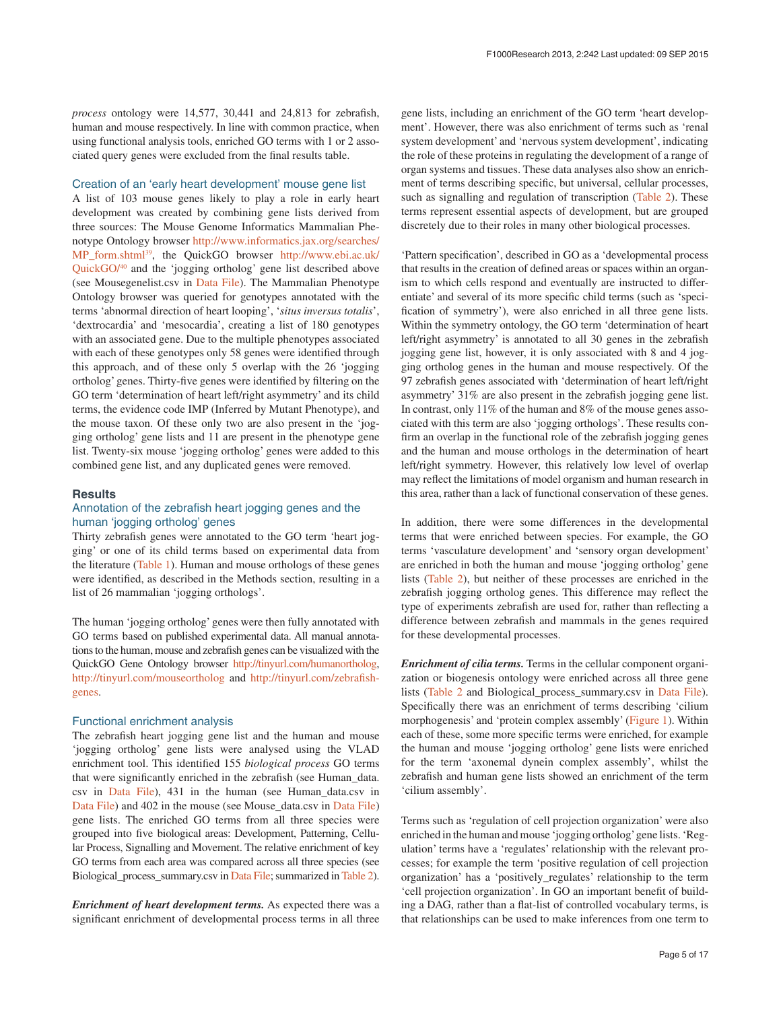*process* ontology were 14,577, 30,441 and 24,813 for zebrafish, human and mouse respectively. In line with common practice, when using functional analysis tools, enriched GO terms with 1 or 2 associated query genes were excluded from the final results table.

#### Creation of an 'early heart development' mouse gene list

A list of 103 mouse genes likely to play a role in early heart development was created by combining gene lists derived from three sources: The Mouse Genome Informatics Mammalian Phenotype Ontology browser [http://www.informatics.jax.org/searches/](http://www.informatics.jax.org/searches/MP_form.shtml) [MP\\_form.shtml](http://www.informatics.jax.org/searches/MP_form.shtml)[39](#page-11-0), the QuickGO browser [http://www.ebi.ac.uk/](http://www.ebi.ac.uk/QuickGO/) [QuickGO/](http://www.ebi.ac.uk/QuickGO/)[40](#page-11-0) and the 'jogging ortholog' gene list described above (see Mousegenelist.csv in [Data File\)](#page-7-0). The Mammalian Phenotype Ontology browser was queried for genotypes annotated with the terms 'abnormal direction of heart looping', '*situs inversus totalis*', 'dextrocardia' and 'mesocardia', creating a list of 180 genotypes with an associated gene. Due to the multiple phenotypes associated with each of these genotypes only 58 genes were identified through this approach, and of these only 5 overlap with the 26 'jogging ortholog' genes. Thirty-five genes were identified by filtering on the GO term 'determination of heart left/right asymmetry' and its child terms, the evidence code IMP (Inferred by Mutant Phenotype), and the mouse taxon. Of these only two are also present in the 'jogging ortholog' gene lists and 11 are present in the phenotype gene list. Twenty-six mouse 'jogging ortholog' genes were added to this combined gene list, and any duplicated genes were removed.

#### **Results**

#### Annotation of the zebrafish heart jogging genes and the human 'jogging ortholog' genes

Thirty zebrafish genes were annotated to the GO term 'heart jogging' or one of its child terms based on experimental data from the literature [\(Table 1\)](#page-3-0). Human and mouse orthologs of these genes were identified, as described in the Methods section, resulting in a list of 26 mammalian 'jogging orthologs'.

The human 'jogging ortholog' genes were then fully annotated with GO terms based on published experimental data. All manual annotations to the human, mouse and zebrafish genes can be visualized with the QuickGO Gene Ontology browser <http://tinyurl.com/humanortholog>, <http://tinyurl.com/mouseortholog> and [http://tinyurl.com/zebrafish](http://tinyurl.com/zebrafishgenes)[genes](http://tinyurl.com/zebrafishgenes).

#### Functional enrichment analysis

The zebrafish heart jogging gene list and the human and mouse 'jogging ortholog' gene lists were analysed using the VLAD enrichment tool. This identified 155 *biological process* GO terms that were significantly enriched in the zebrafish (see Human\_data. csv in [Data File](#page-7-0)), 431 in the human (see Human\_data.csv in [Data File\)](#page-7-0) and 402 in the mouse (see Mouse\_data.csv in [Data File\)](#page-7-0) gene lists. The enriched GO terms from all three species were grouped into five biological areas: Development, Patterning, Cellular Process, Signalling and Movement. The relative enrichment of key GO terms from each area was compared across all three species (see Biological\_process\_summary.csv in [Data File](#page-7-0); summarized in [Table 2\)](#page-5-0).

*Enrichment of heart development terms.* As expected there was a significant enrichment of developmental process terms in all three gene lists, including an enrichment of the GO term 'heart development'. However, there was also enrichment of terms such as 'renal system development' and 'nervous system development', indicating the role of these proteins in regulating the development of a range of organ systems and tissues. These data analyses also show an enrichment of terms describing specific, but universal, cellular processes, such as signalling and regulation of transcription [\(Table 2](#page-5-0)). These terms represent essential aspects of development, but are grouped discretely due to their roles in many other biological processes.

'Pattern specification', described in GO as a 'developmental process that results in the creation of defined areas or spaces within an organism to which cells respond and eventually are instructed to differentiate' and several of its more specific child terms (such as 'specification of symmetry'), were also enriched in all three gene lists. Within the symmetry ontology, the GO term 'determination of heart left/right asymmetry' is annotated to all 30 genes in the zebrafish jogging gene list, however, it is only associated with 8 and 4 jogging ortholog genes in the human and mouse respectively. Of the 97 zebrafish genes associated with 'determination of heart left/right asymmetry' 31% are also present in the zebrafish jogging gene list. In contrast, only 11% of the human and 8% of the mouse genes associated with this term are also 'jogging orthologs'. These results confirm an overlap in the functional role of the zebrafish jogging genes and the human and mouse orthologs in the determination of heart left/right symmetry. However, this relatively low level of overlap may reflect the limitations of model organism and human research in this area, rather than a lack of functional conservation of these genes.

In addition, there were some differences in the developmental terms that were enriched between species. For example, the GO terms 'vasculature development' and 'sensory organ development' are enriched in both the human and mouse 'jogging ortholog' gene lists ([Table 2](#page-5-0)), but neither of these processes are enriched in the zebrafish jogging ortholog genes. This difference may reflect the type of experiments zebrafish are used for, rather than reflecting a difference between zebrafish and mammals in the genes required for these developmental processes.

*Enrichment of cilia terms.* Terms in the cellular component organization or biogenesis ontology were enriched across all three gene lists [\(Table 2](#page-5-0) and Biological\_process\_summary.csv in [Data File](#page-7-0)). Specifically there was an enrichment of terms describing 'cilium morphogenesis' and 'protein complex assembly' ([Figure 1\)](#page-6-0). Within each of these, some more specific terms were enriched, for example the human and mouse 'jogging ortholog' gene lists were enriched for the term 'axonemal dynein complex assembly', whilst the zebrafish and human gene lists showed an enrichment of the term 'cilium assembly'.

Terms such as 'regulation of cell projection organization' were also enriched in the human and mouse 'jogging ortholog' gene lists. 'Regulation' terms have a 'regulates' relationship with the relevant processes; for example the term 'positive regulation of cell projection organization' has a 'positively\_regulates' relationship to the term 'cell projection organization'. In GO an important benefit of building a DAG, rather than a flat-list of controlled vocabulary terms, is that relationships can be used to make inferences from one term to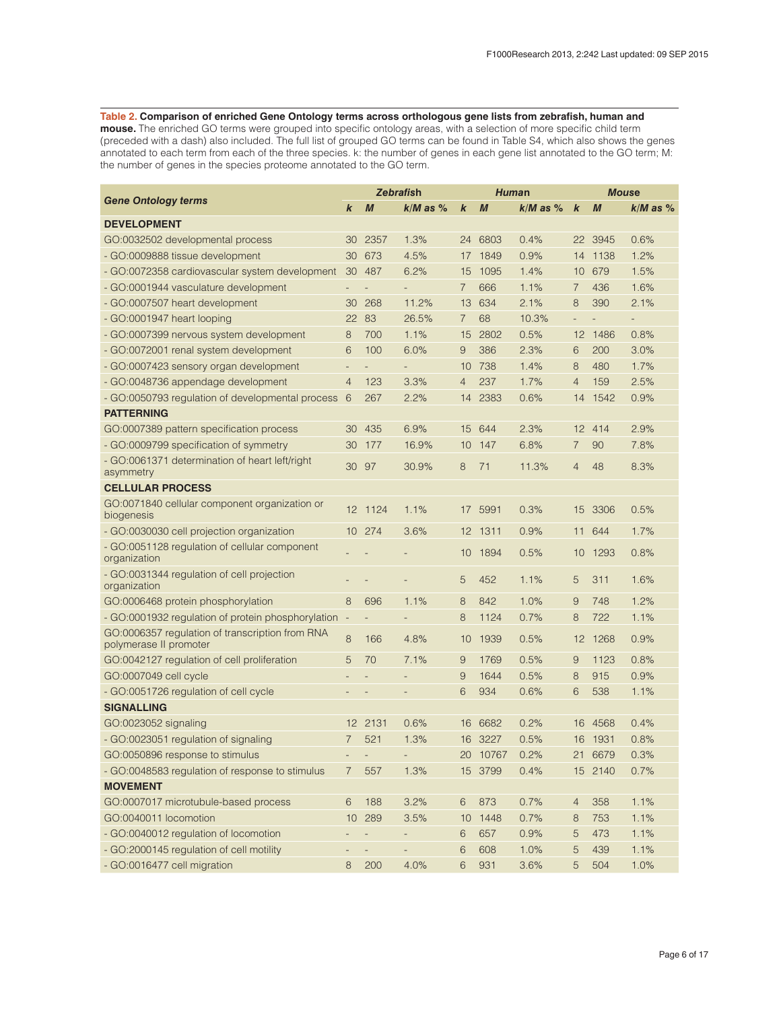#### <span id="page-5-0"></span>**Table 2. Comparison of enriched Gene Ontology terms across orthologous gene lists from zebrafish, human and**

**mouse.** The enriched GO terms were grouped into specific ontology areas, with a selection of more specific child term (preceded with a dash) also included. The full list of grouped GO terms can be found in Table S4, which also shows the genes annotated to each term from each of the three species. k: the number of genes in each gene list annotated to the GO term; M: the number of genes in the species proteome annotated to the GO term.

|                                                                           |                          | <b>Zebrafish</b>         |                          | Human            |                  | <b>Mouse</b> |                          |                  |                          |
|---------------------------------------------------------------------------|--------------------------|--------------------------|--------------------------|------------------|------------------|--------------|--------------------------|------------------|--------------------------|
| <b>Gene Ontology terms</b>                                                | k                        | $\boldsymbol{M}$         | $k/M$ as $%$             | $\boldsymbol{k}$ | $\boldsymbol{M}$ | $k/M$ as $%$ | $\boldsymbol{k}$         | $\boldsymbol{M}$ | $k/M$ as $%$             |
| <b>DEVELOPMENT</b>                                                        |                          |                          |                          |                  |                  |              |                          |                  |                          |
| GO:0032502 developmental process                                          | 30                       | 2357                     | 1.3%                     | 24               | 6803             | 0.4%         | 22                       | 3945             | 0.6%                     |
| - GO:0009888 tissue development                                           | 30                       | 673                      | 4.5%                     |                  | 17 1849          | 0.9%         | 14                       | 1138             | 1.2%                     |
| - GO:0072358 cardiovascular system development                            | 30                       | 487                      | 6.2%                     | 15               | 1095             | 1.4%         | 10                       | 679              | 1.5%                     |
| - GO:0001944 vasculature development                                      |                          |                          |                          | $\overline{7}$   | 666              | 1.1%         | 7                        | 436              | 1.6%                     |
| - GO:0007507 heart development                                            | 30                       | 268                      | 11.2%                    | 13               | 634              | 2.1%         | 8                        | 390              | 2.1%                     |
| - GO:0001947 heart looping                                                | 22                       | -83                      | 26.5%                    | $\overline{7}$   | 68               | 10.3%        | $\overline{\phantom{a}}$ |                  | $\overline{\phantom{0}}$ |
| - GO:0007399 nervous system development                                   | 8                        | 700                      | 1.1%                     | 15               | 2802             | 0.5%         | 12                       | 1486             | 0.8%                     |
| - GO:0072001 renal system development                                     | 6                        | 100                      | 6.0%                     | 9                | 386              | 2.3%         | 6                        | 200              | 3.0%                     |
| - GO:0007423 sensory organ development                                    | $\overline{a}$           |                          |                          | 10               | 738              | 1.4%         | 8                        | 480              | 1.7%                     |
| - GO:0048736 appendage development                                        | 4                        | 123                      | 3.3%                     | 4                | 237              | 1.7%         | $\overline{4}$           | 159              | 2.5%                     |
| - GO:0050793 regulation of developmental process                          | 6                        | 267                      | 2.2%                     | 14               | 2383             | 0.6%         | 14                       | 1542             | 0.9%                     |
| <b>PATTERNING</b>                                                         |                          |                          |                          |                  |                  |              |                          |                  |                          |
| GO:0007389 pattern specification process                                  | 30                       | 435                      | 6.9%                     | 15               | 644              | 2.3%         | 12                       | 414              | 2.9%                     |
| - GO:0009799 specification of symmetry                                    | 30                       | 177                      | 16.9%                    | 10               | 147              | 6.8%         | 7                        | 90               | 7.8%                     |
| - GO:0061371 determination of heart left/right<br>asymmetry               | 30                       | 97                       | 30.9%                    | 8                | 71               | 11.3%        | $\overline{4}$           | 48               | 8.3%                     |
| <b>CELLULAR PROCESS</b>                                                   |                          |                          |                          |                  |                  |              |                          |                  |                          |
| GO:0071840 cellular component organization or<br>biogenesis               |                          | 12 1124                  | 1.1%                     |                  | 17 5991          | 0.3%         | 15                       | 3306             | 0.5%                     |
| - GO:0030030 cell projection organization                                 |                          | 10 274                   | 3.6%                     |                  | 12 1311          | 0.9%         | 11                       | 644              | 1.7%                     |
| - GO:0051128 regulation of cellular component<br>organization             |                          |                          |                          | 10               | 1894             | 0.5%         | 10                       | 1293             | 0.8%                     |
| - GO:0031344 regulation of cell projection<br>organization                |                          |                          |                          | 5                | 452              | 1.1%         | 5                        | 311              | 1.6%                     |
| GO:0006468 protein phosphorylation                                        | 8                        | 696                      | 1.1%                     | 8                | 842              | 1.0%         | 9                        | 748              | 1.2%                     |
| - GO:0001932 regulation of protein phosphorylation                        | $\overline{\phantom{a}}$ |                          | $\overline{\phantom{a}}$ | 8                | 1124             | 0.7%         | 8                        | 722              | 1.1%                     |
| GO:0006357 regulation of transcription from RNA<br>polymerase II promoter | 8                        | 166                      | 4.8%                     | 10               | 1939             | 0.5%         | 12                       | 1268             | 0.9%                     |
| GO:0042127 regulation of cell proliferation                               | 5                        | 70                       | 7.1%                     | 9                | 1769             | 0.5%         | 9                        | 1123             | 0.8%                     |
| GO:0007049 cell cycle                                                     |                          |                          |                          | 9                | 1644             | 0.5%         | 8                        | 915              | 0.9%                     |
| - GO:0051726 regulation of cell cycle                                     |                          |                          |                          | 6                | 934              | 0.6%         | 6                        | 538              | 1.1%                     |
| <b>SIGNALLING</b>                                                         |                          |                          |                          |                  |                  |              |                          |                  |                          |
| GO:0023052 signaling                                                      | 12                       | 2131                     | 0.6%                     | 16               | 6682             | 0.2%         | 16                       | 4568             | 0.4%                     |
| - GO:0023051 regulation of signaling                                      | 7                        | 521                      | 1.3%                     | 16               | 3227             | 0.5%         | 16                       | 1931             | 0.8%                     |
| GO:0050896 response to stimulus                                           |                          |                          |                          |                  | 20 10767         | 0.2%         | 21                       | 6679             | 0.3%                     |
| - GO:0048583 regulation of response to stimulus                           | 7                        | 557                      | 1.3%                     |                  | 15 3799          | 0.4%         |                          | 15 2140          | 0.7%                     |
| <b>MOVEMENT</b>                                                           |                          |                          |                          |                  |                  |              |                          |                  |                          |
| GO:0007017 microtubule-based process                                      | 6                        | 188                      | 3.2%                     | 6                | 873              | 0.7%         | $\overline{4}$           | 358              | 1.1%                     |
| GO:0040011 locomotion                                                     | 10                       | 289                      | 3.5%                     | 10               | 1448             | 0.7%         | 8                        | 753              | 1.1%                     |
| - GO:0040012 regulation of locomotion                                     |                          | $\overline{\phantom{0}}$ |                          | 6                | 657              | 0.9%         | 5                        | 473              | 1.1%                     |
| - GO:2000145 regulation of cell motility                                  |                          | $\overline{\phantom{0}}$ |                          | 6                | 608              | 1.0%         | 5                        | 439              | 1.1%                     |
| - GO:0016477 cell migration                                               | 8                        | 200                      | 4.0%                     | 6                | 931              | 3.6%         | 5                        | 504              | 1.0%                     |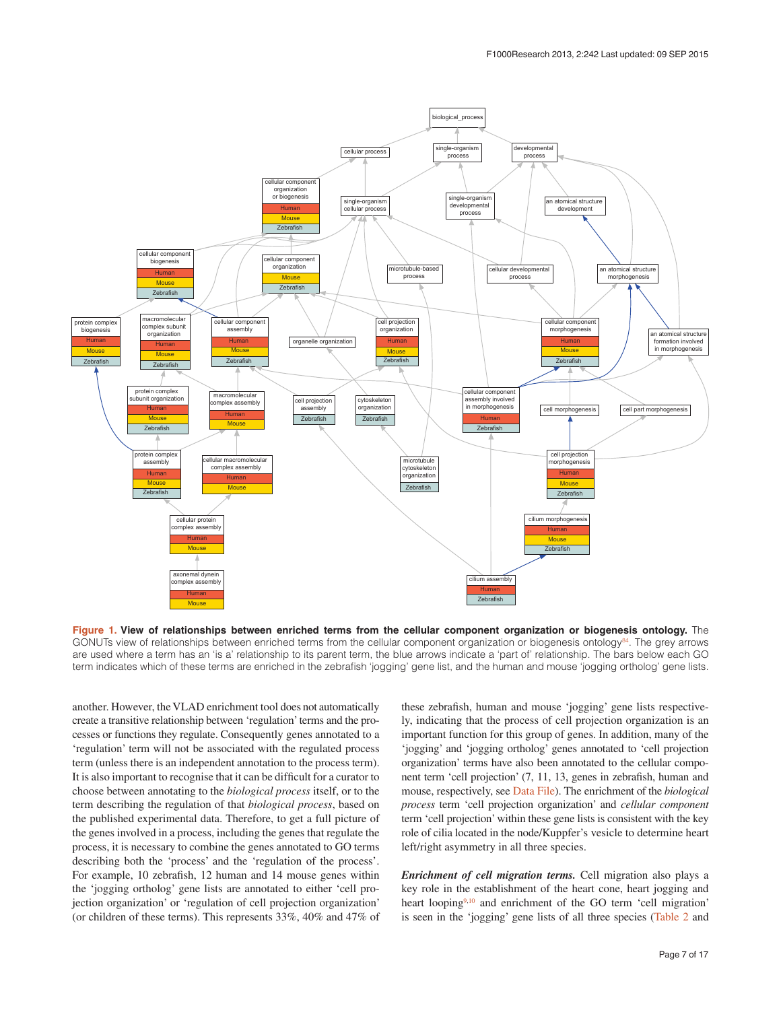<span id="page-6-0"></span>

**Figure 1. View of relationships between enriched terms from the cellular component organization or biogenesis ontology.** The GONUTs view of relationships between enriched terms from the cellular component organization or biogenesis ontology<sup>94</sup>. The grey arrows are used where a term has an 'is a' relationship to its parent term, the blue arrows indicate a 'part of' relationship. The bars below each GO term indicates which of these terms are enriched in the zebrafish 'jogging' gene list, and the human and mouse 'jogging ortholog' gene lists.

another. However, the VLAD enrichment tool does not automatically create a transitive relationship between 'regulation' terms and the processes or functions they regulate. Consequently genes annotated to a 'regulation' term will not be associated with the regulated process term (unless there is an independent annotation to the process term). It is also important to recognise that it can be difficult for a curator to choose between annotating to the *biological process* itself, or to the term describing the regulation of that *biological process*, based on the published experimental data. Therefore, to get a full picture of the genes involved in a process, including the genes that regulate the process, it is necessary to combine the genes annotated to GO terms describing both the 'process' and the 'regulation of the process'. For example, 10 zebrafish, 12 human and 14 mouse genes within the 'jogging ortholog' gene lists are annotated to either 'cell projection organization' or 'regulation of cell projection organization' (or children of these terms). This represents 33%, 40% and 47% of these zebrafish, human and mouse 'jogging' gene lists respectively, indicating that the process of cell projection organization is an important function for this group of genes. In addition, many of the 'jogging' and 'jogging ortholog' genes annotated to 'cell projection organization' terms have also been annotated to the cellular component term 'cell projection' (7, 11, 13, genes in zebrafish, human and mouse, respectively, see [Data File](#page-7-0)). The enrichment of the *biological process* term 'cell projection organization' and *cellular component* term 'cell projection' within these gene lists is consistent with the key role of cilia located in the node/Kuppfer's vesicle to determine heart left/right asymmetry in all three species.

*Enrichment of cell migration terms.* Cell migration also plays a key role in the establishment of the heart cone, heart jogging and heart looping<sup>9,10</sup> and enrichment of the GO term 'cell migration' is seen in the 'jogging' gene lists of all three species [\(Table 2](#page-5-0) and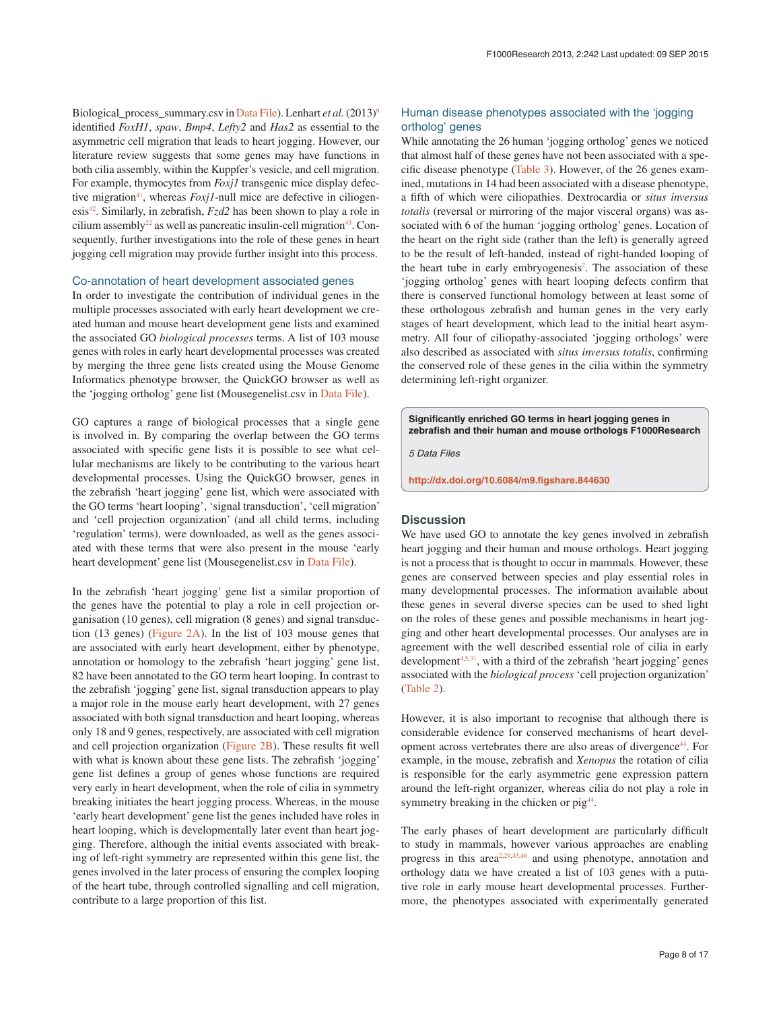<span id="page-7-0"></span>Biological\_process\_summary.csv in Data File). Lenhart *et al.* (2013)<sup>9</sup> identified *FoxH1*, *spaw*, *Bmp4*, *Lefty2* and *Has2* as essential to the asymmetric cell migration that leads to heart jogging. However, our literature review suggests that some genes may have functions in both cilia assembly, within the Kuppfer's vesicle, and cell migration. For example, thymocytes from *Foxj1* transgenic mice display defective migration<sup>41</sup>, whereas *Foxj1*-null mice are defective in ciliogenesis<sup>42</sup>. Similarly, in zebrafish,  $Fzd2$  has been shown to play a role in cilium assembly<sup>22</sup> as well as pancreatic insulin-cell migration<sup>43</sup>. Consequently, further investigations into the role of these genes in heart jogging cell migration may provide further insight into this process.

#### Co-annotation of heart development associated genes

In order to investigate the contribution of individual genes in the multiple processes associated with early heart development we created human and mouse heart development gene lists and examined the associated GO *biological processes* terms. A list of 103 mouse genes with roles in early heart developmental processes was created by merging the three gene lists created using the Mouse Genome Informatics phenotype browser, the QuickGO browser as well as the 'jogging ortholog' gene list (Mousegenelist.csv in Data File).

GO captures a range of biological processes that a single gene is involved in. By comparing the overlap between the GO terms associated with specific gene lists it is possible to see what cellular mechanisms are likely to be contributing to the various heart developmental processes. Using the QuickGO browser, genes in the zebrafish 'heart jogging' gene list, which were associated with the GO terms 'heart looping', 'signal transduction', 'cell migration' and 'cell projection organization' (and all child terms, including 'regulation' terms), were downloaded, as well as the genes associated with these terms that were also present in the mouse 'early heart development' gene list (Mousegenelist.csv in Data File).

In the zebrafish 'heart jogging' gene list a similar proportion of the genes have the potential to play a role in cell projection organisation (10 genes), cell migration (8 genes) and signal transduction (13 genes) [\(Figure 2A](#page-8-0)). In the list of 103 mouse genes that are associated with early heart development, either by phenotype, annotation or homology to the zebrafish 'heart jogging' gene list, 82 have been annotated to the GO term heart looping. In contrast to the zebrafish 'jogging' gene list, signal transduction appears to play a major role in the mouse early heart development, with 27 genes associated with both signal transduction and heart looping, whereas only 18 and 9 genes, respectively, are associated with cell migration and cell projection organization [\(Figure 2B](#page-8-0)). These results fit well with what is known about these gene lists. The zebrafish 'jogging' gene list defines a group of genes whose functions are required very early in heart development, when the role of cilia in symmetry breaking initiates the heart jogging process. Whereas, in the mouse 'early heart development' gene list the genes included have roles in heart looping, which is developmentally later event than heart jogging. Therefore, although the initial events associated with breaking of left-right symmetry are represented within this gene list, the genes involved in the later process of ensuring the complex looping of the heart tube, through controlled signalling and cell migration, contribute to a large proportion of this list.

#### Human disease phenotypes associated with the 'jogging ortholog' genes

While annotating the 26 human 'jogging ortholog' genes we noticed that almost half of these genes have not been associated with a specific disease phenotype [\(Table 3\)](#page-9-0). However, of the 26 genes examined, mutations in 14 had been associated with a disease phenotype, a fifth of which were ciliopathies. Dextrocardia or *situs inversus totalis* (reversal or mirroring of the major visceral organs) was associated with 6 of the human 'jogging ortholog' genes. Location of the heart on the right side (rather than the left) is generally agreed to be the result of left-handed, instead of right-handed looping of the heart tube in early embryogenesis<sup>2</sup>. The association of these 'jogging ortholog' genes with heart looping defects confirm that there is conserved functional homology between at least some of these orthologous zebrafish and human genes in the very early stages of heart development, which lead to the initial heart asymmetry. All four of ciliopathy-associated 'jogging orthologs' were also described as associated with *situs inversus totalis*, confirming the conserved role of these genes in the cilia within the symmetry determining left-right organizer.

**Significantly enriched GO terms in heart jogging genes in zebrafish and their human and mouse orthologs F1000Research**

*5 Data Files*

**<http://dx.doi.org/10.6084/m9.figshare.844630>**

#### **Discussion**

We have used GO to annotate the key genes involved in zebrafish heart jogging and their human and mouse orthologs. Heart jogging is not a process that is thought to occur in mammals. However, these genes are conserved between species and play essential roles in many developmental processes. The information available about these genes in several diverse species can be used to shed light on the roles of these genes and possible mechanisms in heart jogging and other heart developmental processes. Our analyses are in agreement with the well described essential role of cilia in early development<sup>[4,5](#page-10-0),31</sup>, with a third of the zebrafish 'heart jogging' genes associated with the *biological process* 'cell projection organization' ([Table 2](#page-5-0)).

However, it is also important to recognise that although there is considerable evidence for conserved mechanisms of heart development across vertebrates there are also areas of divergence<sup>44</sup>. For example, in the mouse, zebrafish and *Xenopus* the rotation of cilia is responsible for the early asymmetric gene expression pattern around the left-right organizer, whereas cilia do not play a role in symmetry breaking in the chicken or pig<sup>44</sup>.

The early phases of heart development are particularly difficult to study in mammals, however various approaches are enabling progress in this area<sup> $2,29,45,46$ </sup> and using phenotype, annotation and orthology data we have created a list of 103 genes with a putative role in early mouse heart developmental processes. Furthermore, the phenotypes associated with experimentally generated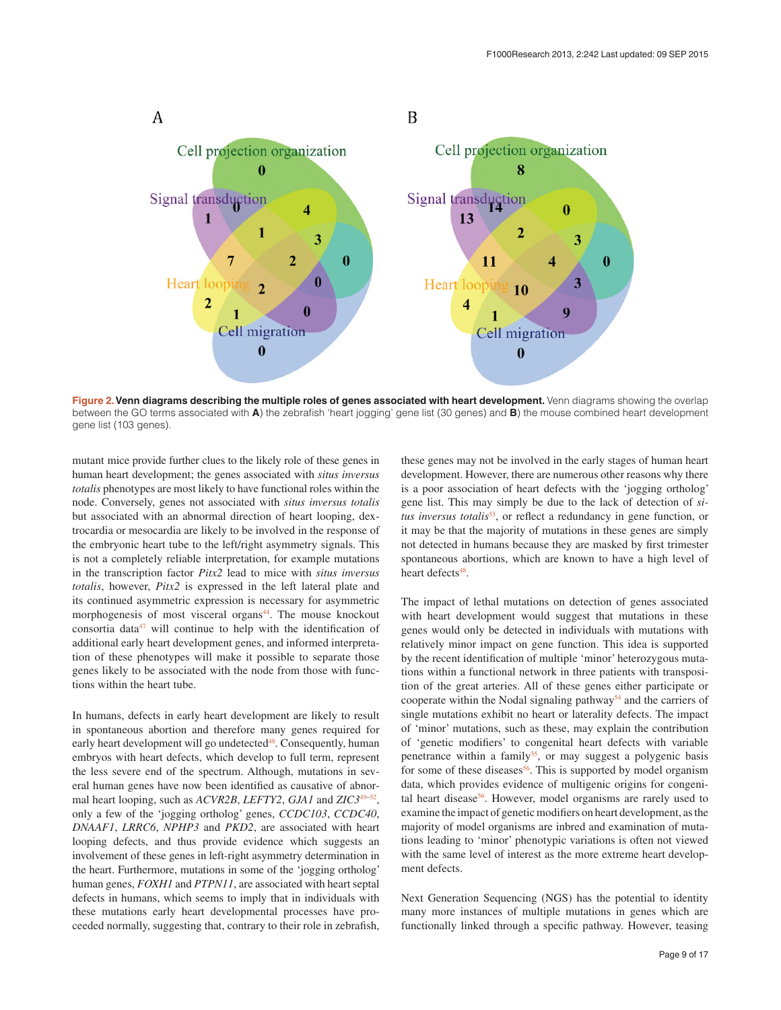<span id="page-8-0"></span>

Figure 2. Venn diagrams describing the multiple roles of genes associated with heart development. Venn diagrams showing the overlap between the GO terms associated with **A**) the zebrafish 'heart jogging' gene list (30 genes) and **B**) the mouse combined heart development gene list (103 genes).

mutant mice provide further clues to the likely role of these genes in human heart development; the genes associated with *situs inversus totalis* phenotypes are most likely to have functional roles within the node. Conversely, genes not associated with *situs inversus totalis* but associated with an abnormal direction of heart looping, dextrocardia or mesocardia are likely to be involved in the response of the embryonic heart tube to the left/right asymmetry signals. This is not a completely reliable interpretation, for example mutations in the transcription factor *Pitx2* lead to mice with *situs inversus totalis*, however, *Pitx2* is expressed in the left lateral plate and its continued asymmetric expression is necessary for asymmetric morphogenesis of most visceral organs<sup>44</sup>. The mouse knockout consortia data $47$  will continue to help with the identification of additional early heart development genes, and informed interpretation of these phenotypes will make it possible to separate those genes likely to be associated with the node from those with functions within the heart tube.

In humans, defects in early heart development are likely to result in spontaneous abortion and therefore many genes required for early heart development will go undetected<sup>48</sup>. Consequently, human embryos with heart defects, which develop to full term, represent the less severe end of the spectrum. Although, mutations in several human genes have now been identified as causative of abnormal heart looping, such as *ACVR2B*, *LEFTY2*, *GJA1* and *ZIC3*[49–52](#page-11-0), only a few of the 'jogging ortholog' genes, *CCDC103*, *CCDC40*, *DNAAF1*, *LRRC6*, *NPHP3* and *PKD2*, are associated with heart looping defects, and thus provide evidence which suggests an involvement of these genes in left-right asymmetry determination in the heart. Furthermore, mutations in some of the 'jogging ortholog' human genes, *FOXH1* and *PTPN11*, are associated with heart septal defects in humans, which seems to imply that in individuals with these mutations early heart developmental processes have proceeded normally, suggesting that, contrary to their role in zebrafish, these genes may not be involved in the early stages of human heart development. However, there are numerous other reasons why there is a poor association of heart defects with the 'jogging ortholog' gene list. This may simply be due to the lack of detection of *situs inversus totalis*<sup>53</sup>, or reflect a redundancy in gene function, or it may be that the majority of mutations in these genes are simply not detected in humans because they are masked by first trimester spontaneous abortions, which are known to have a high level of heart defects<sup>48</sup>.

The impact of lethal mutations on detection of genes associated with heart development would suggest that mutations in these genes would only be detected in individuals with mutations with relatively minor impact on gene function. This idea is supported by the recent identification of multiple 'minor' heterozygous mutations within a functional network in three patients with transposition of the great arteries. All of these genes either participate or cooperate within the Nodal signaling pathway<sup>[54](#page-11-0)</sup> and the carriers of single mutations exhibit no heart or laterality defects. The impact of 'minor' mutations, such as these, may explain the contribution of 'genetic modifiers' to congenital heart defects with variable penetrance within a family<sup>55</sup>, or may suggest a polygenic basis for some of these diseases<sup>56</sup>. This is supported by model organism data, which provides evidence of multigenic origins for congenital heart disease<sup>56</sup>. However, model organisms are rarely used to examine the impact of genetic modifiers on heart development, as the majority of model organisms are inbred and examination of mutations leading to 'minor' phenotypic variations is often not viewed with the same level of interest as the more extreme heart development defects.

Next Generation Sequencing (NGS) has the potential to identity many more instances of multiple mutations in genes which are functionally linked through a specific pathway. However, teasing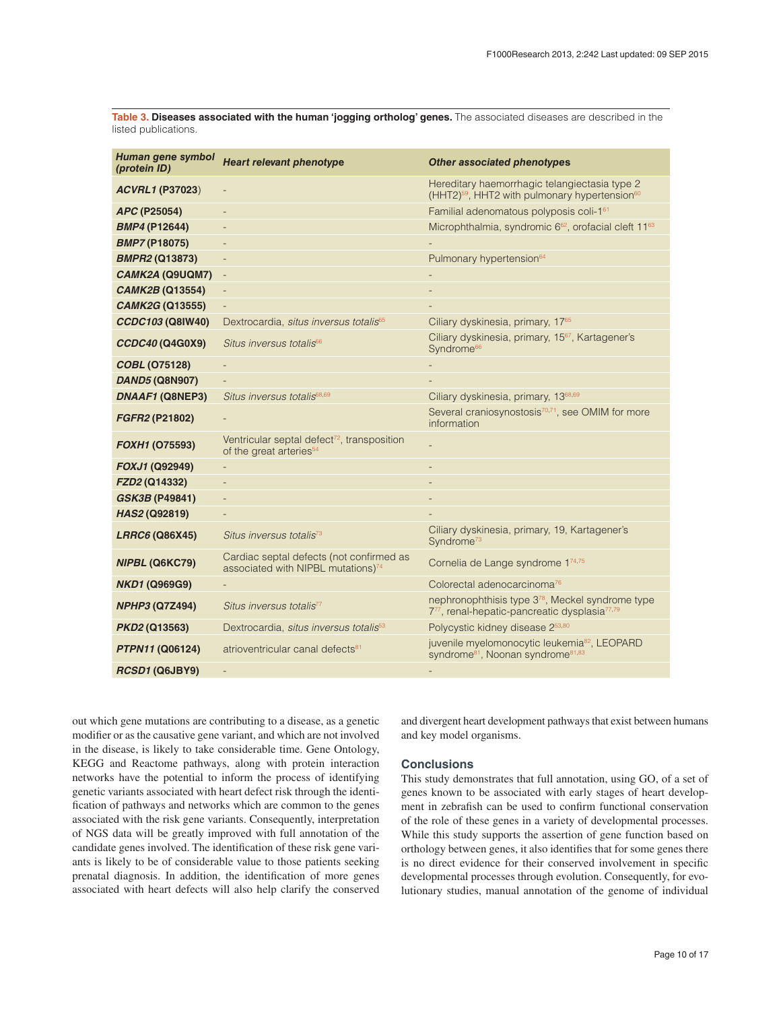<span id="page-9-0"></span>**Table 3. Diseases associated with the human 'jogging ortholog' genes.** The associated diseases are described in the listed publications.

| Human gene symbol<br>(protein ID) | <b>Heart relevant phenotype</b>                                                                | <b>Other associated phenotypes</b>                                                                                       |
|-----------------------------------|------------------------------------------------------------------------------------------------|--------------------------------------------------------------------------------------------------------------------------|
| <b>ACVRL1 (P37023)</b>            | $\qquad \qquad \blacksquare$                                                                   | Hereditary haemorrhagic telangiectasia type 2<br>(HHT2) <sup>59</sup> , HHT2 with pulmonary hypertension <sup>60</sup>   |
| APC (P25054)                      | $\qquad \qquad -$                                                                              | Familial adenomatous polyposis coli-161                                                                                  |
| <b>BMP4 (P12644)</b>              |                                                                                                | Microphthalmia, syndromic 6 <sup>62</sup> , orofacial cleft 11 <sup>63</sup>                                             |
| <b>BMP7 (P18075)</b>              |                                                                                                |                                                                                                                          |
| <b>BMPR2 (Q13873)</b>             | $\qquad \qquad \blacksquare$                                                                   | Pulmonary hypertension <sup>64</sup>                                                                                     |
| CAMK2A (Q9UQM7)                   | $\overline{\phantom{a}}$                                                                       |                                                                                                                          |
| CAMK2B (Q13554)                   | $\overline{\phantom{a}}$                                                                       |                                                                                                                          |
| <b>CAMK2G (Q13555)</b>            | $\qquad \qquad \blacksquare$                                                                   |                                                                                                                          |
| CCDC103 (Q8IW40)                  | Dextrocardia, situs inversus totalis <sup>65</sup>                                             | Ciliary dyskinesia, primary, 17 <sup>65</sup>                                                                            |
| CCDC40 (Q4G0X9)                   | Situs inversus totalis <sup>66</sup>                                                           | Ciliary dyskinesia, primary, 15 <sup>67</sup> , Kartagener's<br>Syndrome <sup>66</sup>                                   |
| <b>COBL (075128)</b>              |                                                                                                |                                                                                                                          |
| <b>DAND5 (Q8N907)</b>             |                                                                                                |                                                                                                                          |
| DNAAF1 (Q8NEP3)                   | Situs inversus totalis68,69                                                                    | Ciliary dyskinesia, primary, 13 <sup>68,69</sup>                                                                         |
| FGFR2 (P21802)                    |                                                                                                | Several craniosynostosis <sup>70,71</sup> , see OMIM for more<br>information                                             |
| FOXH1 (075593)                    | Ventricular septal defect <sup>72</sup> , transposition<br>of the great arteries <sup>54</sup> |                                                                                                                          |
| FOXJ1 (Q92949)                    |                                                                                                |                                                                                                                          |
| FZD2 (Q14332)                     |                                                                                                |                                                                                                                          |
| <b>GSK3B (P49841)</b>             | $\overline{\phantom{0}}$                                                                       |                                                                                                                          |
| HAS2 (Q92819)                     |                                                                                                |                                                                                                                          |
| LRRC6 (Q86X45)                    | Situs inversus totalis <sup>73</sup>                                                           | Ciliary dyskinesia, primary, 19, Kartagener's<br>Syndrome <sup>73</sup>                                                  |
| NIPBL (Q6KC79)                    | Cardiac septal defects (not confirmed as<br>associated with NIPBL mutations) <sup>74</sup>     | Cornelia de Lange syndrome 174,75                                                                                        |
| <b>NKD1 (Q969G9)</b>              |                                                                                                | Colorectal adenocarcinoma <sup>76</sup>                                                                                  |
| <b>NPHP3 (Q7Z494)</b>             | Situs inversus totalis <sup>77</sup>                                                           | nephronophthisis type 3 <sup>78</sup> , Meckel syndrome type<br>777, renal-hepatic-pancreatic dysplasia <sup>77,79</sup> |
| <i>PKD2</i> (Q13563)              | Dextrocardia, situs inversus totalis <sup>53</sup>                                             | Polycystic kidney disease 253,80                                                                                         |
| <b>PTPN11 (Q06124)</b>            | atrioventricular canal defects <sup>81</sup>                                                   | juvenile myelomonocytic leukemia <sup>82</sup> , LEOPARD<br>syndrome <sup>81</sup> , Noonan syndrome <sup>81,83</sup>    |
| RCSD1 (Q6JBY9)                    | $\overline{\phantom{0}}$                                                                       |                                                                                                                          |

out which gene mutations are contributing to a disease, as a genetic modifier or as the causative gene variant, and which are not involved in the disease, is likely to take considerable time. Gene Ontology, KEGG and Reactome pathways, along with protein interaction networks have the potential to inform the process of identifying genetic variants associated with heart defect risk through the identification of pathways and networks which are common to the genes associated with the risk gene variants. Consequently, interpretation of NGS data will be greatly improved with full annotation of the candidate genes involved. The identification of these risk gene variants is likely to be of considerable value to those patients seeking prenatal diagnosis. In addition, the identification of more genes associated with heart defects will also help clarify the conserved and divergent heart development pathways that exist between humans and key model organisms.

#### **Conclusions**

This study demonstrates that full annotation, using GO, of a set of genes known to be associated with early stages of heart development in zebrafish can be used to confirm functional conservation of the role of these genes in a variety of developmental processes. While this study supports the assertion of gene function based on orthology between genes, it also identifies that for some genes there is no direct evidence for their conserved involvement in specific developmental processes through evolution. Consequently, for evolutionary studies, manual annotation of the genome of individual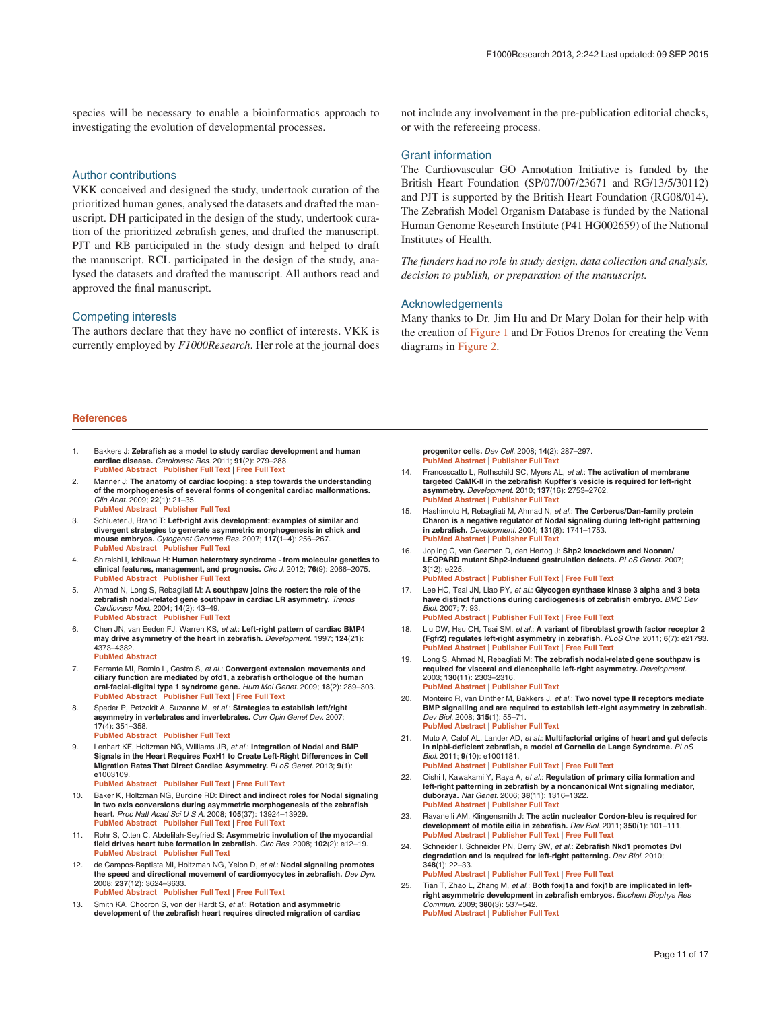<span id="page-10-0"></span>species will be necessary to enable a bioinformatics approach to investigating the evolution of developmental processes.

Author contributions

VKK conceived and designed the study, undertook curation of the prioritized human genes, analysed the datasets and drafted the manuscript. DH participated in the design of the study, undertook curation of the prioritized zebrafish genes, and drafted the manuscript. PJT and RB participated in the study design and helped to draft the manuscript. RCL participated in the design of the study, analysed the datasets and drafted the manuscript. All authors read and approved the final manuscript.

#### Competing interests

The authors declare that they have no conflict of interests. VKK is currently employed by *F1000Research*. Her role at the journal does not include any involvement in the pre-publication editorial checks, or with the refereeing process.

#### Grant information

The Cardiovascular GO Annotation Initiative is funded by the British Heart Foundation (SP/07/007/23671 and RG/13/5/30112) and PJT is supported by the British Heart Foundation (RG08/014). The Zebrafish Model Organism Database is funded by the National Human Genome Research Institute (P41 HG002659) of the National Institutes of Health.

*The funders had no role in study design, data collection and analysis, decision to publish, or preparation of the manuscript.*

#### Acknowledgements

Many thanks to Dr. Jim Hu and Dr Mary Dolan for their help with the creation of [Figure 1](#page-6-0) and Dr Fotios Drenos for creating the Venn diagrams in [Figure 2](#page-8-0).

#### **References**

- 1. Bakkers J: **Zebrafish as a model to study cardiac development and human cardiac disease.** *Cardiovasc Res.* 2011; **91**(2): 279–288. **[PubMed Abstract](http://www.ncbi.nlm.nih.gov/pubmed/21602174)** | **[Publisher Full Text](http://dx.doi.org/10.1093/cvr/cvr098)** | **[Free Full Text](http://www.ncbi.nlm.nih.gov/pmc/articles/3125074)**
- 2. Manner J: **The anatomy of cardiac looping: a step towards the understanding of the morphogenesis of several forms of congenital cardiac malformations.** *Clin Anat.* 2009; **22**(1): 21–35. **[PubMed Abstract](http://www.ncbi.nlm.nih.gov/pubmed/18661581)** | **[Publisher Full Text](http://dx.doi.org/10.1002/ca.20652)**
- 3. Schlueter J, Brand T: **Left-right axis development: examples of similar and divergent strategies to generate asymmetric morphogenesis in chick and mouse embryos.** *Cytogenet Genome Res.* 2007; **117**(1–4): 256–267. **[PubMed Abstract](http://www.ncbi.nlm.nih.gov/pubmed/17675867)** | **[Publisher Full Text](http://dx.doi.org/10.1159/000103187)**
- 4. Shiraishi I, Ichikawa H: **Human heterotaxy syndrome from molecular genetics to clinical features, management, and prognosis.** *Circ J.* 2012; **76**(9): 2066–2075. **[PubMed Abstract](http://www.ncbi.nlm.nih.gov/pubmed/22864291) | Publisher Full Text**
- 5. Ahmad N, Long S, Rebagliati M: **A southpaw joins the roster: the role of the zebrafish nodal-related gene southpaw in cardiac LR asymmetry.** *Trends Cardiovasc Med.* 2004; **14**(2): 43–49. **[PubMed Abstract](http://www.ncbi.nlm.nih.gov/pubmed/15030788)** | **[Publisher Full Text](http://dx.doi.org/10.1016/j.tcm.2003.11.001)**
- 6. Chen JN, van Eeden FJ, Warren KS, *et al.*: **Left-right pattern of cardiac BMP4 may drive asymmetry of the heart in zebrafish.** *Development.* 1997; **124**(21): 4373–4382.
	- **[PubMed Abstract](http://www.ncbi.nlm.nih.gov/pubmed/9334285)**
- 7. Ferrante MI, Romio L, Castro S, *et al.*: **Convergent extension movements and ciliary function are mediated by ofd1, a zebrafish orthologue of the human oral-facial-digital type 1 syndrome gene.** *Hum Mol Genet.* 2009; **18**(2): 289–303. **[PubMed Abstract](http://www.ncbi.nlm.nih.gov/pubmed/18971206)** | **[Publisher Full Text](http://dx.doi.org/10.1093/hmg/ddn356)** | **[Free Full Text](http://www.ncbi.nlm.nih.gov/pmc/articles/2638777)**
- 8. Speder P, Petzoldt A, Suzanne M, *et al.*: **Strategies to establish left/right asymmetry in vertebrates and invertebrates.** *Curr Opin Genet Dev.* 2007; **17**(4): 351–358.
	- **[PubMed Abstract](http://www.ncbi.nlm.nih.gov/pubmed/17643981)** | **[Publisher Full Text](http://dx.doi.org/10.1016/j.gde.2007.05.008)**
- 9. Lenhart KF, Holtzman NG, Williams JR, *et al.*: **Integration of Nodal and BMP Signals in the Heart Requires FoxH1 to Create Left-Right Differences in Cell Migration Rates That Direct Cardiac Asymmetry.** *PLoS Genet.* 2013; **9**(1): e1003109.
	- **[PubMed Abstract](http://www.ncbi.nlm.nih.gov/pubmed/23358434)** | **[Publisher Full Text](http://dx.doi.org/10.1371/journal.pgen.1003109)** | **[Free Full Text](http://www.ncbi.nlm.nih.gov/pmc/articles/3554567)**
- 10. Baker K, Holtzman NG, Burdine RD: **Direct and indirect roles for Nodal signaling in two axis conversions during asymmetric morphogenesis of the zebrafish heart.** *Proc Natl Acad Sci U S A.* 2008; **105**(37): 13924–13929. **[PubMed Abstract](http://www.ncbi.nlm.nih.gov/pubmed/18784369)** | **[Publisher Full Text](http://dx.doi.org/10.1073/pnas.0802159105)** | **[Free Full Text](http://www.ncbi.nlm.nih.gov/pmc/articles/2544555)**
- 11. Rohr S, Otten C, Abdelilah-Seyfried S: **Asymmetric involution of the myocardial field drives heart tube formation in zebrafish.** *Circ Res.* 2008; **102**(2): e12–19. **[PubMed Abstract](http://www.ncbi.nlm.nih.gov/pubmed/18202314)** | **[Publisher Full Text](http://dx.doi.org/10.1161/CIRCRESAHA.107.165241)**
- 12. de Campos-Baptista MI, Holtzman NG, Yelon D, *et al.*: **Nodal signaling promotes the speed and directional movement of cardiomyocytes in zebrafish.** *Dev Dyn.* 2008; **237**(12): 3624–3633. **[PubMed Abstract](http://www.ncbi.nlm.nih.gov/pubmed/18985714)** | **[Publisher Full Text](http://dx.doi.org/10.1002/dvdy.21777)** | **[Free Full Text](http://www.ncbi.nlm.nih.gov/pmc/articles/2632806)**
- 13. Smith KA, Chocron S, von der Hardt S, *et al.*: **Rotation and asymmetric development of the zebrafish heart requires directed migration of cardiac**

**progenitor cells.** *Dev Cell.* 2008; **14**(2): 287–297. **[PubMed Abstract](http://www.ncbi.nlm.nih.gov/pubmed/18267096)** | **[Publisher Full Text](http://dx.doi.org/10.1016/j.devcel.2007.11.015)** 

- 14. Francescatto L, Rothschild SC, Myers AL, *et al.*: **The activation of membrane targeted CaMK-II in the zebrafish Kupffer's vesicle is required for left-right asymmetry.** *Development.* 2010; **137**(16): 2753–2762. **[PubMed Abstract](http://www.ncbi.nlm.nih.gov/pubmed/20630945)** | **[Publisher Full Text](http://dx.doi.org/10.1242/dev.049627)**
- 15. Hashimoto H, Rebagliati M, Ahmad N, *et al.*: **The Cerberus/Dan-family protein Charon is a negative regulator of Nodal signaling during left-right patterning in zebrafish.** *Development.* 2004; **131**(8): 1741–1753. **[PubMed Abstract](http://www.ncbi.nlm.nih.gov/pubmed/15084459)** | **[Publisher Full Text](http://dx.doi.org/10.1242/dev.01070)**
- 16. Jopling C, van Geemen D, den Hertog J: **Shp2 knockdown and Noonan/ LEOPARD mutant Shp2-induced gastrulation defects.** *PLoS Genet.* 2007; **3**(12): e225. **[PubMed Abstract](http://www.ncbi.nlm.nih.gov/pubmed/18159945)** | **[Publisher Full Text](http://dx.doi.org/10.1371/journal.pgen.0030225)** | **[Free Full Text](http://www.ncbi.nlm.nih.gov/pmc/articles/2151089)**
- 17. Lee HC, Tsai JN, Liao PY, *et al.*: **Glycogen synthase kinase 3 alpha and 3 beta have distinct functions during cardiogenesis of zebrafish embryo.** *BMC Dev Biol.* 2007; **7**: 93.
- **[PubMed Abstract](http://www.ncbi.nlm.nih.gov/pubmed/17683539)** | **[Publisher Full Text](http://dx.doi.org/10.1186/1471-213X-7-93)** | **[Free Full Text](http://www.ncbi.nlm.nih.gov/pmc/articles/1988812)**
- 18. Liu DW, Hsu CH, Tsai SM, *et al.*: **A variant of fibroblast growth factor receptor 2 (Fgfr2) regulates left-right asymmetry in zebrafish.** *PLoS One.* 2011; **6**(7): e21793. **[PubMed Abstract](http://www.ncbi.nlm.nih.gov/pubmed/21747958)** | **[Publisher Full Text](http://dx.doi.org/10.1371/journal.pone.0021793)** | **[Free Full Text](http://www.ncbi.nlm.nih.gov/pmc/articles/3128613)**
- 19. Long S, Ahmad N, Rebagliati M: **The zebrafish nodal-related gene southpaw is required for visceral and diencephalic left-right asymmetry.** *Development.* 2003; **130**(11): 2303–2316. **[PubMed Abstract](http://www.ncbi.nlm.nih.gov/pubmed/12702646)** | **[Publisher Full Text](http://dx.doi.org/10.1242/dev.00436)**
- 20. Monteiro R, van Dinther M, Bakkers J, *et al.*: **Two novel type II receptors mediate BMP signalling and are required to establish left-right asymmetry in zebrafish.** *Dev Biol.* 2008; **315**(1): 55–71. **[PubMed Abstract](http://www.ncbi.nlm.nih.gov/pubmed/18222420)** | **[Publisher Full Text](http://dx.doi.org/10.1016/j.ydbio.2007.11.038)**
- 21. Muto A, Calof AL, Lander AD, *et al.*: **Multifactorial origins of heart and gut defects in nipbl-deficient zebrafish, a model of Cornelia de Lange Syndrome.** *PLoS Biol.* 2011; **9**(10): e1001181. **[PubMed Abstract](http://www.ncbi.nlm.nih.gov/pubmed/22039349)** | **[Publisher Full Text](http://dx.doi.org/10.1371/journal.pbio.1001181)** | **[Free Full Text](http://www.ncbi.nlm.nih.gov/pmc/articles/3201921)**
- 22. Oishi I, Kawakami Y, Raya A, *et al.*: **Regulation of primary cilia formation and left-right patterning in zebrafish by a noncanonical Wnt signaling mediator, duboraya.** *Nat Genet.* 2006; **38**(11): 1316–1322. **[PubMed Abstract](http://www.ncbi.nlm.nih.gov/pubmed/17013396)** | **[Publisher Full Text](http://dx.doi.org/10.1038/ng1892)**
- 23. Ravanelli AM, Klingensmith J: **The actin nucleator Cordon-bleu is required for development of motile cilia in zebrafish.** *Dev Biol.* 2011; **350**(1): 101–111. **[PubMed Abstract](http://www.ncbi.nlm.nih.gov/pubmed/21129373)** | **[Publisher Full Text](http://dx.doi.org/10.1016/j.ydbio.2010.11.023)** | **[Free Full Text](http://www.ncbi.nlm.nih.gov/pmc/articles/3022090)**
- 24. Schneider I, Schneider PN, Derry SW, *et al.*: **Zebrafish Nkd1 promotes Dvl degradation and is required for left-right patterning.** *Dev Biol.* 2010; **348**(1): 22–33. **[PubMed Abstract](http://www.ncbi.nlm.nih.gov/pubmed/20858476)** | **[Publisher Full Text](http://dx.doi.org/10.1016/j.ydbio.2010.08.040)** | **[Free Full Text](http://www.ncbi.nlm.nih.gov/pmc/articles/2976797)**
- 25. Tian T, Zhao L, Zhang M, *et al.*: **Both foxj1a and foxj1b are implicated in leftright asymmetric development in zebrafish embryos.** *Biochem Biophys Res Commun.* 2009; **380**(3): 537–542. **[PubMed Abstract](http://www.ncbi.nlm.nih.gov/pubmed/19284996)** | **[Publisher Full Text](http://dx.doi.org/10.1016/j.bbrc.2009.01.111)**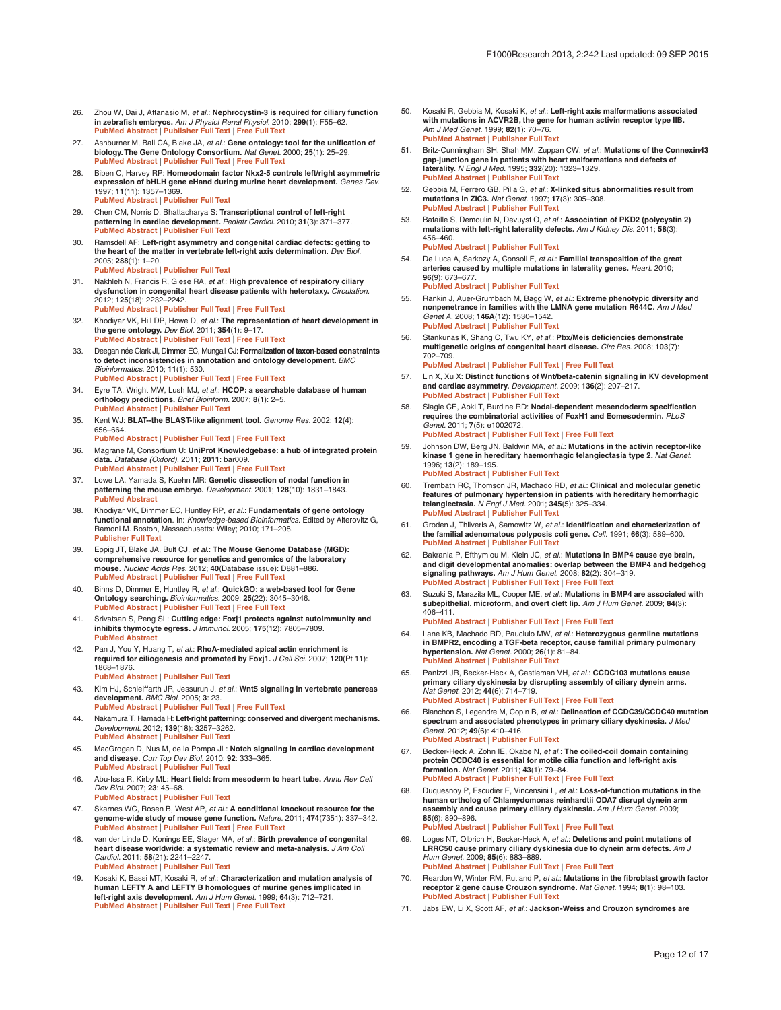- <span id="page-11-0"></span>26. Zhou W, Dai J, Attanasio M, *et al.*: **Nephrocystin-3 is required for ciliary function in zebrafish embryos.** *Am J Physiol Renal Physiol.* 2010; **299**(1): F55–62. **[PubMed Abstract](http://www.ncbi.nlm.nih.gov/pubmed/20462968)** | **[Publisher Full Text](http://dx.doi.org/10.1152/ajprenal.00043.2010)** | **[Free Full Text](http://www.ncbi.nlm.nih.gov/pmc/articles/2904175)**
- 27. Ashburner M, Ball CA, Blake JA, *et al.*: **Gene ontology: tool for the unification of biology. The Gene Ontology Consortium.** *Nat Genet.* 2000; **25**(1): 25–29. **[PubMed Abstract](http://www.ncbi.nlm.nih.gov/pubmed/10802651)** | **[Publisher Full Text](http://dx.doi.org/10.1038/75556)** | **[Free Full Text](http://www.ncbi.nlm.nih.gov/pmc/articles/3037419)**
- 28. Biben C, Harvey RP: **Homeodomain factor Nkx2-5 controls left/right asymmetric expression of bHLH gene eHand during murine heart development.** *Genes Dev.* 1997; **11**(11): 1357–1369. **[PubMed Abstract](http://www.ncbi.nlm.nih.gov/pubmed/9192865)** | **[Publisher Full Text](http://dx.doi.org/10.1101/gad.11.11.1357)**
- 29. Chen CM, Norris D, Bhattacharya S: **Transcriptional control of left-right patterning in cardiac development.** *Pediatr Cardiol.* 2010; **31**(3): 371–377. **[PubMed Abstract](http://www.ncbi.nlm.nih.gov/pubmed/20054532)** | **[Publisher Full Text](http://dx.doi.org/10.1007/s00246-009-9610-3)**
- 30. Ramsdell AF: **Left-right asymmetry and congenital cardiac defects: getting to the heart of the matter in vertebrate left-right axis determination.** *Dev Biol.* 2005; **288**(1): 1–20. **[PubMed Abstract](http://www.ncbi.nlm.nih.gov/pubmed/16289136)** | **[Publisher Full Text](http://dx.doi.org/10.1016/j.ydbio.2005.07.038)**
- 31. Nakhleh N, Francis R, Giese RA, *et al.*: **High prevalence of respiratory ciliary dysfunction in congenital heart disease patients with heterotaxy.** *Circulation.* 2012; **125**(18): 2232–2242. **[PubMed Abstract](http://www.ncbi.nlm.nih.gov/pubmed/22499950)** | **[Publisher Full Text](http://dx.doi.org/10.1161/CIRCULATIONAHA.111.079780)** | **[Free Full Text](http://www.ncbi.nlm.nih.gov/pmc/articles/3770728)**
- 32. Khodiyar VK, Hill DP, Howe D, *et al.*: **The representation of heart development in the gene ontology.** *Dev Biol.* 2011; **354**(1): 9–17. **[PubMed Abstract](http://www.ncbi.nlm.nih.gov/pubmed/21419760)** | **[Publisher Full Text](http://dx.doi.org/10.1016/j.ydbio.2011.03.011)** | **[Free Full Text](http://www.ncbi.nlm.nih.gov/pmc/articles/3302178)**
- 33. Deegan née Clark JI, Dimmer EC, Mungall CJ: **Formalization of taxon-based constraints to detect inconsistencies in annotation and ontology development.** *BMC Bioinformatics.* 2010; **11**(1): 530. **[PubMed Abstract](http://www.ncbi.nlm.nih.gov/pubmed/20973947)** | **[Publisher Full Text](http://dx.doi.org/10.1186/1471-2105-11-530)** | **[Free Full Text](http://www.ncbi.nlm.nih.gov/pmc/articles/3098089)**
- 34. Eyre TA, Wright MW, Lush MJ, *et al.*: **HCOP: a searchable database of human orthology predictions.** *Brief Bioinform.* 2007; **8**(1): 2–5. **[PubMed Abstract](http://www.ncbi.nlm.nih.gov/pubmed/16951416)** | **[Publisher Full Text](http://dx.doi.org/10.1093/bib/bbl030)**
- 35. Kent WJ: **BLAT--the BLAST-like alignment tool.** *Genome Res.* 2002; **12**(4): 656–664. **[PubMed Abstract](http://www.ncbi.nlm.nih.gov/pubmed/11932250)** | **[Publisher Full Text](http://dx.doi.org/10.1101/gr.229202)** | **[Free Full Text](http://www.ncbi.nlm.nih.gov/pmc/articles/187518)**
- 36. Magrane M, Consortium U: **UniProt Knowledgebase: a hub of integrated protein data.** *Database (Oxford).* 2011; **2011**: bar009. **[PubMed Abstract](http://www.ncbi.nlm.nih.gov/pubmed/21447597)** | **[Publisher Full Text](http://dx.doi.org/10.1093/database/bar009)** | **[Free Full Text](http://www.ncbi.nlm.nih.gov/pmc/articles/3070428)**
- 37. Lowe LA, Yamada S, Kuehn MR: **Genetic dissection of nodal function in patterning the mouse embryo.** *Development.* 2001; **128**(10): 1831–1843. **[PubMed Abstract](http://www.ncbi.nlm.nih.gov/pubmed/11311163)**
- 38. Khodiyar VK, Dimmer EC, Huntley RP, *et al.*: **Fundamentals of gene ontology functional annotation**. In: *Knowledge-based Bioinformatics*. Edited by Alterovitz G, Ramoni M. Boston, Massachusetts: Wiley; 2010; 171–208. **[Publisher Full Text](http://dx.doi.org/10.1002/9780470669716.ch8)**
- 39. Eppig JT, Blake JA, Bult CJ, *et al.*: **The Mouse Genome Database (MGD): comprehensive resource for genetics and genomics of the laboratory mouse.** *Nucleic Acids Res.* 2012; **40**(Database issue): D881–886. **[PubMed Abstract](http://www.ncbi.nlm.nih.gov/pubmed/22075990)** | **[Publisher Full Text](http://dx.doi.org/10.1093/nar/gkr974)** | **[Free Full Text](http://www.ncbi.nlm.nih.gov/pmc/articles/3245042)**
- 40. Binns D, Dimmer E, Huntley R, *et al.*: **QuickGO: a web-based tool for Gene Ontology searching.** *Bioinformatics.* 2009; **25**(22): 3045–3046. **[PubMed Abstract](http://www.ncbi.nlm.nih.gov/pubmed/19744993)** | **[Publisher Full Text](http://dx.doi.org/10.1093/bioinformatics/btp536)** | **[Free Full Text](http://www.ncbi.nlm.nih.gov/pmc/articles/2773257)**
- 41. Srivatsan S, Peng SL: **Cutting edge: Foxj1 protects against autoimmunity and inhibits thymocyte egress.** *J Immunol.* 2005; **175**(12): 7805–7809. **[PubMed Abstract](http://www.ncbi.nlm.nih.gov/pubmed/16339515)**
- 42. Pan J, You Y, Huang T, *et al.*: **RhoA-mediated apical actin enrichment is required for ciliogenesis and promoted by Foxj1.** *J Cell Sci.* 2007; **120**(Pt 11): 1868–1876.
	- **[PubMed Abstract](http://www.ncbi.nlm.nih.gov/pubmed/17488776)** | **[Publisher Full Text](http://dx.doi.org/10.1242/jcs.005306)**
- 43. Kim HJ, Schleiffarth JR, Jessurun J, *et al.*: **Wnt5 signaling in vertebrate pancreas development.** *BMC Biol.* 2005; **3**: 23. **[PubMed Abstract](http://www.ncbi.nlm.nih.gov/pubmed/16246260)** | **[Publisher Full Text](http://dx.doi.org/10.1186/1741-7007-3-23)** | **[Free Full Text](http://www.ncbi.nlm.nih.gov/pmc/articles/1276788)**
- 44. Nakamura T, Hamada H: **Left-right patterning: conserved and divergent mechanisms.** *Development.* 2012; **139**(18): 3257–3262. **[PubMed Abstract](http://www.ncbi.nlm.nih.gov/pubmed/22912409)** | **[Publisher Full Text](http://dx.doi.org/10.1242/dev.061606)**
- 45. MacGrogan D, Nus M, de la Pompa JL: **Notch signaling in cardiac development and disease.** *Curr Top Dev Biol.* 2010; **92**: 333–365. **[PubMed Abstract](http://www.ncbi.nlm.nih.gov/pubmed/20816401)** | **[Publisher Full Text](http://dx.doi.org/10.1016/S0070-2153(10)92011-5)**
- 46. Abu-Issa R, Kirby ML: **Heart field: from mesoderm to heart tube.** *Annu Rev Cell Dev Biol.* 2007; **23**: 45–68.
- **[PubMed Abstract](http://www.ncbi.nlm.nih.gov/pubmed/17456019)** | **[Publisher Full Text](http://dx.doi.org/10.1146/annurev.cellbio.23.090506.123331)**
- 47. Skarnes WC, Rosen B, West AP, *et al.*: **A conditional knockout resource for the genome-wide study of mouse gene function.** *Nature.* 2011; **474**(7351): 337–342. **[PubMed Abstract](http://www.ncbi.nlm.nih.gov/pubmed/21677750)** | **[Publisher Full Text](http://dx.doi.org/10.1038/nature10163)** | **[Free Full Text](http://www.ncbi.nlm.nih.gov/pmc/articles/3572410)**
- 48. van der Linde D, Konings EE, Slager MA, *et al.*: **Birth prevalence of congenital heart disease worldwide: a systematic review and meta-analysis.** *J Am Coll Cardiol.* 2011; **58**(21): 2241–2247. **[PubMed Abstract](http://www.ncbi.nlm.nih.gov/pubmed/22078432)** | **[Publisher Full Text](http://dx.doi.org/10.1016/j.jacc.2011.08.025)**
- 49. Kosaki K, Bassi MT, Kosaki R, *et al.*: **Characterization and mutation analysis of human LEFTY A and LEFTY B homologues of murine genes implicated in left-right axis development.** *Am J Hum Genet.* 1999; **64**(3): 712–721. **[PubMed Abstract](http://www.ncbi.nlm.nih.gov/pubmed/10053005)** | **[Publisher Full Text](http://dx.doi.org/10.1086/302289)** | **[Free Full Text](http://www.ncbi.nlm.nih.gov/pmc/articles/1377788)**
- 50. Kosaki R, Gebbia M, Kosaki K, *et al.*: **Left-right axis malformations associated with mutations in ACVR2B, the gene for human activin receptor type IIB.** *Am J Med Genet.* 1999; **82**(1): 70–76. **[PubMed Abstract](http://www.ncbi.nlm.nih.gov/pubmed/9916847)** | **[Publisher Full Text](http://dx.doi.org/10.1002/%28SICI%291096-8628(19990101)82:1<70::AID-AJMG14>3.0.CO;2-Y)**
- 51. Britz-Cunningham SH, Shah MM, Zuppan CW, *et al.*: **Mutations of the Connexin43 gap-junction gene in patients with heart malformations and defects of laterality.** *N Engl J Med.* 1995; **332**(20): 1323–1329. **[PubMed Abstract](http://www.ncbi.nlm.nih.gov/pubmed/7715640)** | **[Publisher Full Text](http://dx.doi.org/10.1056/NEJM199505183322002)**
- 52. Gebbia M, Ferrero GB, Pilia G, *et al.*: **X-linked situs abnormalities result from mutations in ZIC3.** *Nat Genet.* 1997; **17**(3): 305–308. **[PubMed Abstract](http://www.ncbi.nlm.nih.gov/pubmed/9354794)** | **[Publisher Full Text](http://dx.doi.org/10.1038/ng1197-305)**
- 53. Bataille S, Demoulin N, Devuyst O, *et al.*: **Association of PKD2 (polycystin 2) mutations with left-right laterality defects.** *Am J Kidney Dis.* 2011; **58**(3): 456–460.

**[PubMed Abstract](http://www.ncbi.nlm.nih.gov/pubmed/21719175)** | **[Publisher Full Text](http://dx.doi.org/10.1053/j.ajkd.2011.05.015)** 

- 54. De Luca A, Sarkozy A, Consoli F, *et al.*: **Familial transposition of the great arteries caused by multiple mutations in laterality genes.** *Heart.* 2010; **96**(9): 673–677. **[PubMed Abstract](http://www.ncbi.nlm.nih.gov/pubmed/19933292)** | **[Publisher Full Text](http://dx.doi.org/10.1136/hrt.2009.181685)**
- 55. Rankin J, Auer-Grumbach M, Bagg W, *et al.*: **Extreme phenotypic diversity and nonpenetrance in families with the LMNA gene mutation R644C.** *Am J Med Genet A.* 2008; **146A**(12): 1530–1542. **[PubMed Abstract](http://www.ncbi.nlm.nih.gov/pubmed/18478590)** | **[Publisher Full Text](http://dx.doi.org/10.1002/ajmg.a.32331)**
- 56. Stankunas K, Shang C, Twu KY, *et al.*: **Pbx/Meis deficiencies demonstrate multigenetic origins of congenital heart disease.** *Circ Res.* 2008; **103**(7): 702–709.
	- **[PubMed Abstract](http://www.ncbi.nlm.nih.gov/pubmed/18723445)** | **[Publisher Full Text](http://dx.doi.org/10.1161/CIRCRESAHA.108.175489)** | **[Free Full Text](http://www.ncbi.nlm.nih.gov/pmc/articles/2633052)**
- 57. Lin X, Xu X: **Distinct functions of Wnt/beta-catenin signaling in KV development and cardiac asymmetry.** *Development.* 2009; **136**(2): 207–217. **[PubMed Abstract](http://www.ncbi.nlm.nih.gov/pubmed/19103803)** | **[Publisher Full Text](http://dx.doi.org/10.1242/dev.029561)**
- 58. Slagle CE, Aoki T, Burdine RD: **Nodal-dependent mesendoderm specification requires the combinatorial activities of FoxH1 and Eomesodermin.** *PLoS Genet.* 2011; **7**(5): e1002072. **[PubMed Abstract](http://www.ncbi.nlm.nih.gov/pubmed/21637786)** | **[Publisher Full Text](http://dx.doi.org/10.1371/journal.pgen.1002072)** | **[Free Full Text](http://www.ncbi.nlm.nih.gov/pmc/articles/3102743)**
- 59. Johnson DW, Berg JN, Baldwin MA, *et al.*: **Mutations in the activin receptor-like kinase 1 gene in hereditary haemorrhagic telangiectasia type 2.** *Nat Genet.* 1996; **13**(2): 189–195.

**[PubMed Abstract](http://www.ncbi.nlm.nih.gov/pubmed/8640225)** | **[Publisher Full Text](http://dx.doi.org/10.1038/ng0696-189)** 

- 60. Trembath RC, Thomson JR, Machado RD, *et al.*: **Clinical and molecular genetic features of pulmonary hypertension in patients with hereditary hemorrhagic telangiectasia.** *N Engl J Med.* 2001; **345**(5): 325–334. **[PubMed Abstract](http://www.ncbi.nlm.nih.gov/pubmed/11484689)** | **[Publisher Full Text](http://dx.doi.org/10.1056/NEJM200108023450503)**
- 61. Groden J, Thliveris A, Samowitz W, *et al.*: **Identification and characterization of the familial adenomatous polyposis coli gene.** *Cell.* 1991; **66**(3): 589–600. **[PubMed Abstract](http://www.ncbi.nlm.nih.gov/pubmed/1651174)** | **[Publisher Full Text](http://dx.doi.org/10.1016/0092-8674(81)90021-0)**
- 62. Bakrania P, Efthymiou M, Klein JC, *et al.*: **Mutations in BMP4 cause eye brain, and digit developmental anomalies: overlap between the BMP4 and hedgehog signaling pathways.** *Am J Hum Genet.* 2008; **82**(2): 304–319. **[PubMed Abstract](http://www.ncbi.nlm.nih.gov/pubmed/18252212)** | **[Publisher Full Text](http://dx.doi.org/10.1016/j.ajhg.2007.09.023)** | **[Free Full Text](http://www.ncbi.nlm.nih.gov/pmc/articles/2427285)**
- 63. Suzuki S, Marazita ML, Cooper ME, *et al.*: **Mutations in BMP4 are associated with subepithelial, microform, and overt cleft lip.** *Am J Hum Genet.* 2009; **84**(3): 406–411. **[PubMed Abstract](http://www.ncbi.nlm.nih.gov/pubmed/19249007)** | **[Publisher Full Text](http://dx.doi.org/10.1016/j.ajhg.2009.02.002)** | **[Free Full Text](http://www.ncbi.nlm.nih.gov/pmc/articles/2667991)**
- 64. Lane KB, Machado RD, Pauciulo MW, *et al.*: **Heterozygous germline mutations in BMPR2, encoding a TGF-beta receptor, cause familial primary pulmonary hypertension.** *Nat Genet.* 2000; **26**(1): 81–84. **[PubMed Abstract](http://www.ncbi.nlm.nih.gov/pubmed/10973254)** | **[Publisher Full Text](http://dx.doi.org/10.1038/79226+J2)**
- 65. Panizzi JR, Becker-Heck A, Castleman VH, *et al.*: **CCDC103 mutations cause primary ciliary dyskinesia by disrupting assembly of ciliary dynein arms.** *Nat Genet.* 2012; **44**(6): 714–719. **[PubMed Abstract](http://www.ncbi.nlm.nih.gov/pubmed/22581229)** | **[Publisher Full Text](http://dx.doi.org/10.1038/ng.2277)** | **[Free Full Text](http://www.ncbi.nlm.nih.gov/pmc/articles/3371652)**
- 66. Blanchon S, Legendre M, Copin B, *et al.*: **Delineation of CCDC39/CCDC40 mutation spectrum and associated phenotypes in primary ciliary dyskinesia.** *J Med Genet.* 2012; **49**(6): 410–416. **[PubMed Abstract](http://www.ncbi.nlm.nih.gov/pubmed/22693285)** | **[Publisher Full Text](http://dx.doi.org/10.1136/jmedgenet-2012-100867)**
- 67. Becker-Heck A, Zohn IE, Okabe N, *et al.*: **The coiled-coil domain containing protein CCDC40 is essential for motile cilia function and left-right axis formation.** *Nat Genet.* 2011; **43**(1): 79–84. **[PubMed Abstract](http://www.ncbi.nlm.nih.gov/pubmed/21131974)** | **[Publisher Full Text](http://dx.doi.org/10.1038/ng.727)** | **[Free Full Text](http://www.ncbi.nlm.nih.gov/pmc/articles/3132183)**
- 68. Duquesnoy P, Escudier E, Vincensini L, *et al.*: **Loss-of-function mutations in the human ortholog of Chlamydomonas reinhardtii ODA7 disrupt dynein arm assembly and cause primary ciliary dyskinesia.** *Am J Hum Genet.* 2009; **85**(6): 890–896.
- **[PubMed Abstract](http://www.ncbi.nlm.nih.gov/pubmed/19944405)** | **[Publisher Full Text](http://dx.doi.org/10.1016/j.ajhg.2009.11.008)** | **[Free Full Text](http://www.ncbi.nlm.nih.gov/pmc/articles/2790569)**
- 69. Loges NT, Olbrich H, Becker-Heck A, *et al.*: **Deletions and point mutations of LRRC50 cause primary ciliary dyskinesia due to dynein arm defects.** *Am J Hum Genet.* 2009; **85**(6): 883–889. **[PubMed Abstract](http://www.ncbi.nlm.nih.gov/pubmed/19944400)** | **[Publisher Full Text](http://dx.doi.org/10.1016/j.ajhg.2009.10.018)** | **[Free Full Text](http://www.ncbi.nlm.nih.gov/pmc/articles/2795801)**
- 70. Reardon W, Winter RM, Rutland P, *et al.*: **Mutations in the fibroblast growth factor receptor 2 gene cause Crouzon syndrome.** *Nat Genet.* 1994; **8**(1): 98–103. **[PubMed Abstract](http://www.ncbi.nlm.nih.gov/pubmed/7987400)** | **[Publisher Full Text](http://dx.doi.org/10.1038/ng0994-98)**
- Jabs EW, Li X, Scott AF, et al.: Jackson-Weiss and Crouzon syndromes are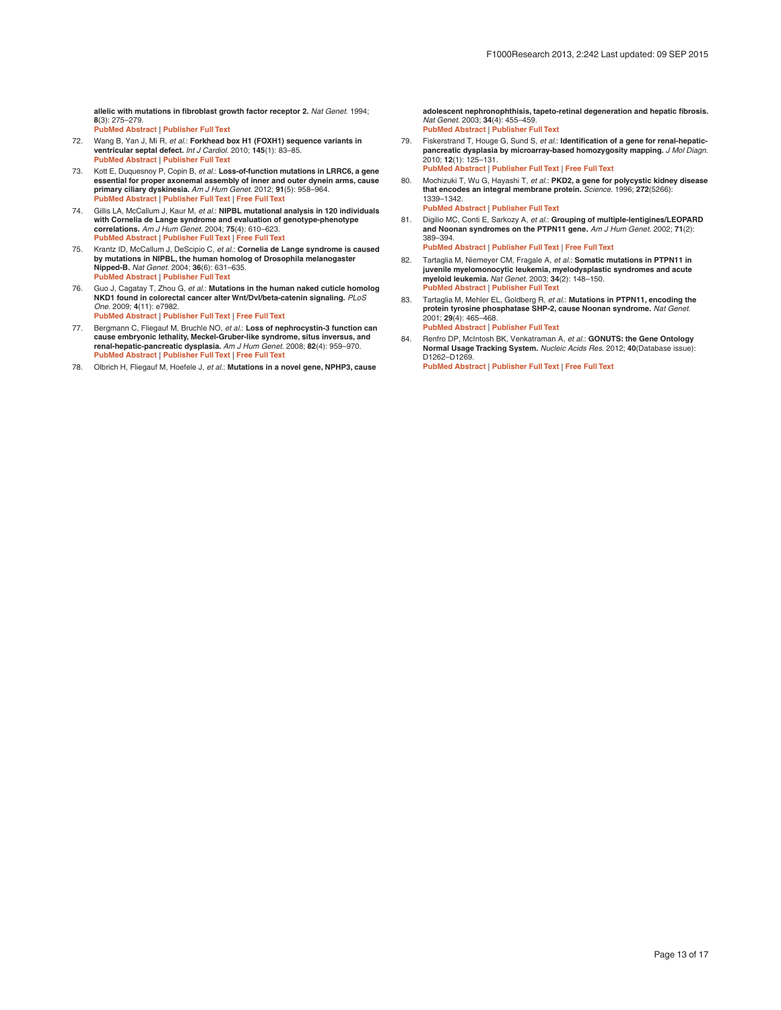<span id="page-12-0"></span>**allelic with mutations in fibroblast growth factor receptor 2.** *Nat Genet.* 1994; **8**(3): 275–279. **[PubMed Abstract](http://www.ncbi.nlm.nih.gov/pubmed/7874170)** | **[Publisher Full Text](http://dx.doi.org/10.1038/ng1194-275)** 

- 72. Wang B, Yan J, Mi R, *et al.*: **Forkhead box H1 (FOXH1) sequence variants in ventricular septal defect.** *Int J Cardiol.* 2010; **145**(1): 83–85. **[PubMed Abstract](http://www.ncbi.nlm.nih.gov/pubmed/19525021)** | **[Publisher Full Text](http://dx.doi.org/10.1016/j.ijcard.2009.05.030)**
- 73. Kott E, Duquesnoy P, Copin B, *et al.*: **Loss-of-function mutations in LRRC6, a gene**  essential for proper axonemal assembly of inner and outer dynein arms, cause<br>primary ciliary dyskinesia. *Am J Hum Genet.* 2012; 91(5): 958–964.<br><mark>[PubMed Abstract](http://www.ncbi.nlm.nih.gov/pubmed/23122589) | [Publisher Full Text](http://dx.doi.org/10.1016/j.ajhg.2012.10.003) | Free Full Text</mark>
- 74. Gillis LA, McCallum J, Kaur M, *et al.*: **NIPBL mutational analysis in 120 individuals with Cornelia de Lange syndrome and evaluation of genotype-phenotype correlations.** *Am J Hum Genet.* 2004; **75**(4): 610–623. **[PubMed Abstract](http://www.ncbi.nlm.nih.gov/pubmed/15318302)** | **[Publisher Full Text](http://dx.doi.org/10.1086/424698)** | **[Free Full Text](http://www.ncbi.nlm.nih.gov/pmc/articles/1182048)**
- 75. Krantz ID, McCallum J, DeScipio C, *et al.*: **Cornelia de Lange syndrome is caused by mutations in NIPBL, the human homolog of Drosophila melanogaster Nipped-B.** *Nat Genet.* 2004; **36**(6): 631–635. **[PubMed Abstract](http://www.ncbi.nlm.nih.gov/pubmed/15146186)** | **[Publisher Full Text](http://dx.doi.org/10.1038/ng1364)**
- 76. Guo J, Cagatay T, Zhou G, *et al.*: **Mutations in the human naked cuticle homolog NKD1 found in colorectal cancer alter Wnt/Dvl/beta-catenin signaling.** *PLoS One.* 2009; **4**(11): e7982.
	- **[PubMed Abstract](http://www.ncbi.nlm.nih.gov/pubmed/19956716)** | **[Publisher Full Text](http://dx.doi.org/10.1371/journal.pone.0007982)** | **[Free Full Text](http://www.ncbi.nlm.nih.gov/pmc/articles/2776356)**
- 77. Bergmann C, Fliegauf M, Bruchle NO, *et al.*: **Loss of nephrocystin-3 function can cause embryonic lethality, Meckel-Gruber-like syndrome, situs inversus, and renal-hepatic-pancreatic dysplasia.** *Am J Hum Genet.* 2008; **82**(4): 959–970. **[PubMed Abstract](http://www.ncbi.nlm.nih.gov/pubmed/18371931)** | **[Publisher Full Text](http://dx.doi.org/10.1016/j.ajhg.2008.02.017)** | **[Free Full Text](http://www.ncbi.nlm.nih.gov/pmc/articles/2427297)**
- 78. Olbrich H, Fliegauf M, Hoefele J, *et al.*: **Mutations in a novel gene, NPHP3, cause**

**adolescent nephronophthisis, tapeto-retinal degeneration and hepatic fibrosis.** *Nat Genet.* 2003; **34**(4): 455–459. **[PubMed Abstract](http://www.ncbi.nlm.nih.gov/pubmed/12872122)** | **[Publisher Full Text](http://dx.doi.org/10.1038/ng1216)** 

- 79. Fiskerstrand T, Houge G, Sund S, *et al.*: **Identification of a gene for renal-hepaticpancreatic dysplasia by microarray-based homozygosity mapping.** *J Mol Diagn.* 2010; **12**(1): 125–131. **[PubMed Abstract](http://www.ncbi.nlm.nih.gov/pubmed/20007846)** | **[Publisher Full Text](http://dx.doi.org/10.2353/jmoldx.2010.090033)** | **[Free Full Text](http://www.ncbi.nlm.nih.gov/pmc/articles/2797727)**
- 80. Mochizuki T, Wu G, Hayashi T, *et al.*: **PKD2, a gene for polycystic kidney disease that encodes an integral membrane protein.** *Science.* 1996; **272**(5266): 1339–1342.
	- **[PubMed Abstract](http://www.ncbi.nlm.nih.gov/pubmed/8650545)** | **[Publisher Full Text](http://dx.doi.org/10.1126/science.272.5266.1339)**
- 81. Digilio MC, Conti E, Sarkozy A, *et al.*: **Grouping of multiple-lentigines/LEOPARD and Noonan syndromes on the PTPN11 gene.** *Am J Hum Genet.* 2002; **71**(2): 389–394. **[PubMed Abstract](http://www.ncbi.nlm.nih.gov/pubmed/12058348)** | **[Publisher Full Text](http://dx.doi.org/10.1086/341528)** | **[Free Full Text](http://www.ncbi.nlm.nih.gov/pmc/articles/379170)**
- 82. Tartaglia M, Niemeyer CM, Fragale A, *et al.*: **Somatic mutations in PTPN11 in juvenile myelomonocytic leukemia, myelodysplastic syndromes and acute myeloid leukemia.** *Nat Genet.* 2003; **34**(2): 148–150. **P[ubMed Abstract](http://www.ncbi.nlm.nih.gov/pubmed/12717436)** | **[Publisher Full Text](http://dx.doi.org/10.1038/ng1156)**
- 83. Tartaglia M, Mehler EL, Goldberg R, *et al.*: **Mutations in PTPN11, encoding the protein tyrosine phosphatase SHP-2, cause Noonan syndrome.** *Nat Genet.* 2001; **29**(4): 465–468. **P[ubMed Abstract](http://www.ncbi.nlm.nih.gov/pubmed/11704759)** | **[Publisher Full Text](http://dx.doi.org/10.1038/ng772)**
- 84. Renfro DP, McIntosh BK, Venkatraman A, *et al.*: **GONUTS: the Gene Ontology Normal Usage Tracking System.** *Nucleic Acids Res.* 2012; **40**(Database issue): D1262–D1269. **[PubMed Abstract](http://www.ncbi.nlm.nih.gov/pubmed/22110029)** | **[Publisher Full Text](http://dx.doi.org/10.1093/nar/gkr907)** | **[Free Full Text](http://www.ncbi.nlm.nih.gov/pmc/articles/3245169)**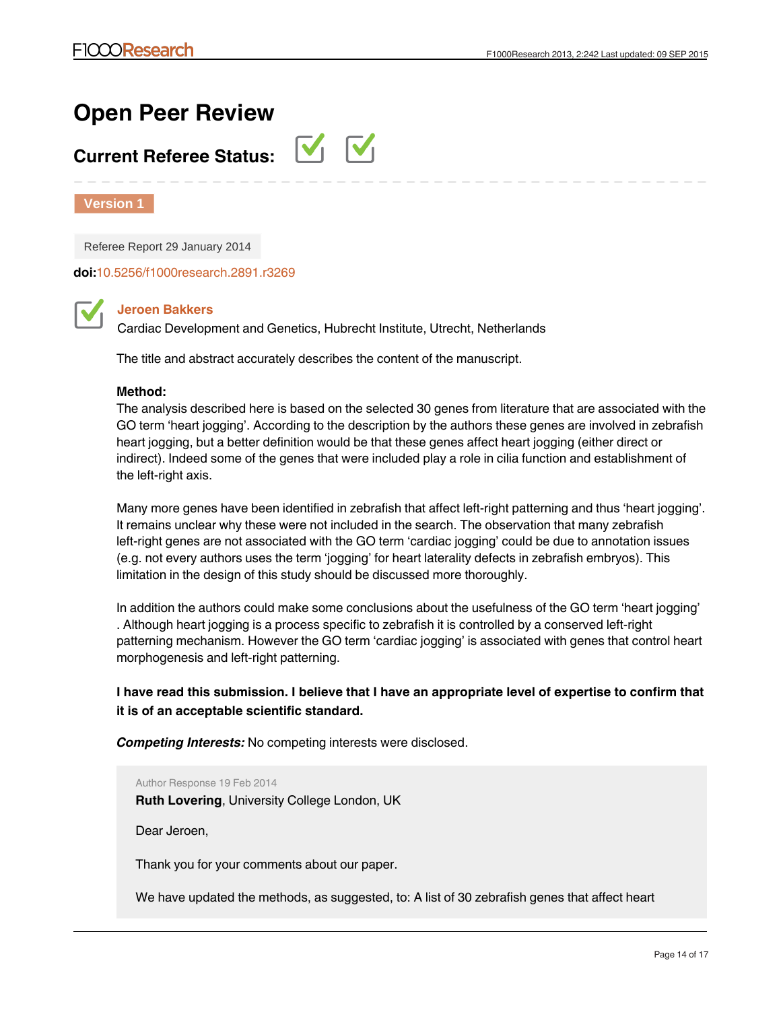# **Open Peer Review**

# **Current Referee Status:**



**Version 1**

Referee Report 29 January 2014

**doi:**[10.5256/f1000research.2891.r3269](http://dx.doi.org/10.5256/f1000research.2891.r3269)

# **Jeroen Bakkers**

Cardiac Development and Genetics, Hubrecht Institute, Utrecht, Netherlands

The title and abstract accurately describes the content of the manuscript.

## **Method:**

The analysis described here is based on the selected 30 genes from literature that are associated with the GO term 'heart jogging'. According to the description by the authors these genes are involved in zebrafish heart jogging, but a better definition would be that these genes affect heart jogging (either direct or indirect). Indeed some of the genes that were included play a role in cilia function and establishment of the left-right axis.

Many more genes have been identified in zebrafish that affect left-right patterning and thus 'heart jogging'. It remains unclear why these were not included in the search. The observation that many zebrafish left-right genes are not associated with the GO term 'cardiac jogging' could be due to annotation issues (e.g. not every authors uses the term 'jogging' for heart laterality defects in zebrafish embryos). This limitation in the design of this study should be discussed more thoroughly.

In addition the authors could make some conclusions about the usefulness of the GO term 'heart jogging' . Although heart jogging is a process specific to zebrafish it is controlled by a conserved left-right patterning mechanism. However the GO term 'cardiac jogging' is associated with genes that control heart morphogenesis and left-right patterning.

# **I have read this submission. I believe that I have an appropriate level of expertise to confirm that it is of an acceptable scientific standard.**

*Competing Interests:* No competing interests were disclosed.

Author Response 19 Feb 2014

**Ruth Lovering**, University College London, UK

Dear Jeroen,

jogging…

Thank you for your comments about our paper.

We have updated the methods, as suggested, to: A list of 30 zebrafish genes that affect heart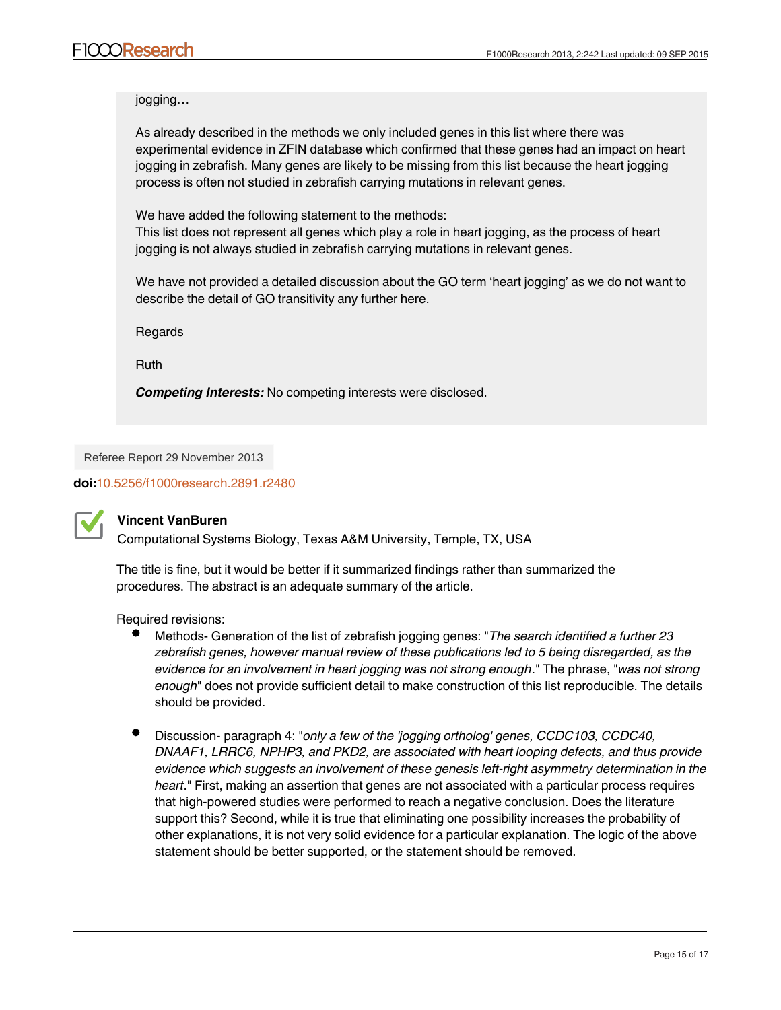jogging…

As already described in the methods we only included genes in this list where there was experimental evidence in ZFIN database which confirmed that these genes had an impact on heart jogging in zebrafish. Many genes are likely to be missing from this list because the heart jogging process is often not studied in zebrafish carrying mutations in relevant genes.

We have added the following statement to the methods: This list does not represent all genes which play a role in heart jogging, as the process of heart jogging is not always studied in zebrafish carrying mutations in relevant genes.

We have not provided a detailed discussion about the GO term 'heart jogging' as we do not want to describe the detail of GO transitivity any further here.

Regards

Ruth

*Competing Interests:* No competing interests were disclosed.

Referee Report 29 November 2013

**doi:**[10.5256/f1000research.2891.r2480](http://dx.doi.org/10.5256/f1000research.2891.r2480)



# **Vincent VanBuren**

Computational Systems Biology, Texas A&M University, Temple, TX, USA

The title is fine, but it would be better if it summarized findings rather than summarized the procedures. The abstract is an adequate summary of the article.

Required revisions:

- Methods- Generation of the list of zebrafish jogging genes: "*The search identified a further 23 zebrafish genes, however manual review of these publications led to 5 being disregarded, as the evidence for an involvement in heart jogging was not strong enough*." The phrase, "*was not strong enough*" does not provide sufficient detail to make construction of this list reproducible. The details should be provided.
- Discussion- paragraph 4: "*only a few of the 'jogging ortholog' genes, CCDC103, CCDC40, DNAAF1, LRRC6, NPHP3, and PKD2, are associated with heart looping defects, and thus provide evidence which suggests an involvement of these genesis left-right asymmetry determination in the heart*." First, making an assertion that genes are not associated with a particular process requires that high-powered studies were performed to reach a negative conclusion. Does the literature support this? Second, while it is true that eliminating one possibility increases the probability of other explanations, it is not very solid evidence for a particular explanation. The logic of the above statement should be better supported, or the statement should be removed.

Discussion- paragraph 4: "*However, there are numerous other reasons why there is a poor*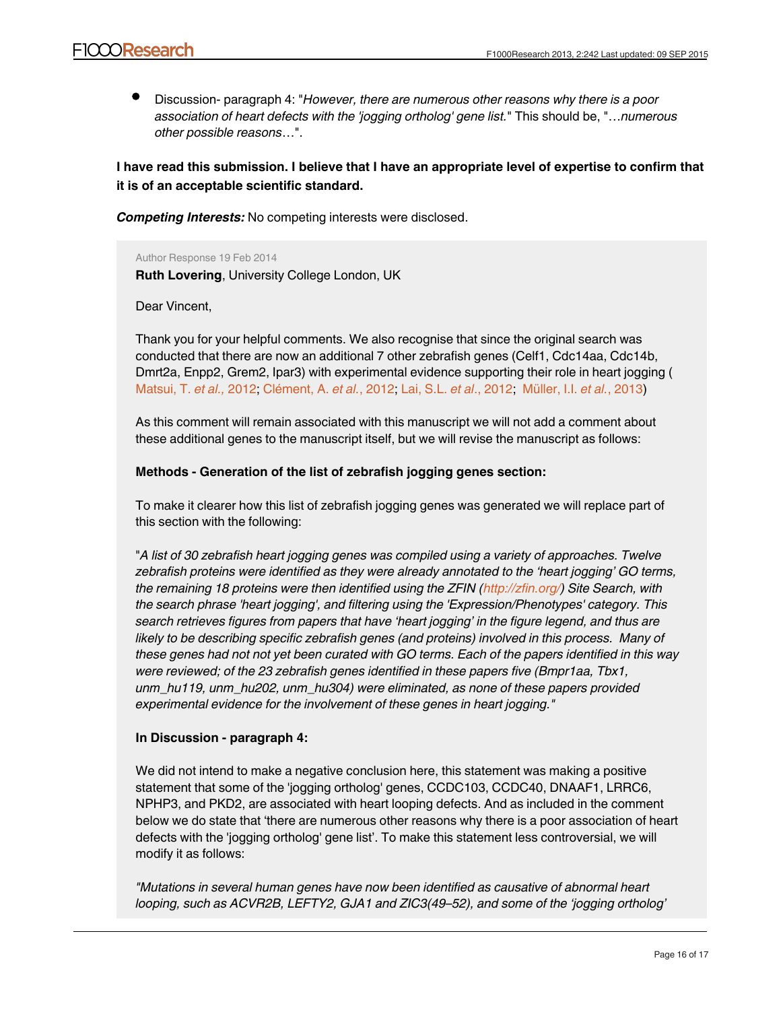Discussion- paragraph 4: "*However, there are numerous other reasons why there is a poor association of heart defects with the 'jogging ortholog' gene list.*" This should be, "…*numerous other possible reasons*…".

**I have read this submission. I believe that I have an appropriate level of expertise to confirm that it is of an acceptable scientific standard.**

*Competing Interests:* No competing interests were disclosed.

Author Response 19 Feb 2014

**Ruth Lovering**, University College London, UK

Dear Vincent,

Thank you for your helpful comments. We also recognise that since the original search was conducted that there are now an additional 7 other zebrafish genes (Celf1, Cdc14aa, Cdc14b, Dmrt2a, Enpp2, Grem2, Ipar3) with experimental evidence supporting their role in heart jogging ( [Matsui, T.](http://www.ncbi.nlm.nih.gov/pubmed/22899848) *et al.,* 2012; [Clément, A.](http://www.ncbi.nlm.nih.gov/pubmed/23027426) *et al.*, 2012; [Lai, S.L.](http://www.ncbi.nlm.nih.gov/pubmed/23095890) *et al*., 2012; [Müller, I.I.](http://www.ncbi.nlm.nih.gov/pubmed/23223679) *et al.*, 2013)

As this comment will remain associated with this manuscript we will not add a comment about these additional genes to the manuscript itself, but we will revise the manuscript as follows:

# **Methods - Generation of the list of zebrafish jogging genes section:**

To make it clearer how this list of zebrafish jogging genes was generated we will replace part of this section with the following:

"*A list of 30 zebrafish heart jogging genes was compiled using a variety of approaches. Twelve zebrafish proteins were identified as they were already annotated to the 'heart jogging' GO terms, the remaining 18 proteins were then identified using the ZFIN ([http://zfin.org/\)](http://zfin.org/) Site Search, with the search phrase 'heart jogging', and filtering using the 'Expression/Phenotypes' category. This search retrieves figures from papers that have 'heart jogging' in the figure legend, and thus are likely to be describing specific zebrafish genes (and proteins) involved in this process. Many of these genes had not not yet been curated with GO terms. Each of the papers identified in this way were reviewed; of the 23 zebrafish genes identified in these papers five (Bmpr1aa, Tbx1, unm\_hu119, unm\_hu202, unm\_hu304) were eliminated, as none of these papers provided experimental evidence for the involvement of these genes in heart jogging."*

# **In Discussion - paragraph 4:**

We did not intend to make a negative conclusion here, this statement was making a positive statement that some of the 'jogging ortholog' genes, CCDC103, CCDC40, DNAAF1, LRRC6, NPHP3, and PKD2, are associated with heart looping defects. And as included in the comment below we do state that 'there are numerous other reasons why there is a poor association of heart defects with the 'jogging ortholog' gene list'. To make this statement less controversial, we will modify it as follows:

*"Mutations in several human genes have now been identified as causative of abnormal heart looping, such as ACVR2B, LEFTY2, GJA1 and ZIC3(49–52), and some of the 'jogging ortholog'*

*genes (CCDC103, CCDC40, DNAAF1, LRRC6, NPHP3 and PKD2) are also associated with heart*